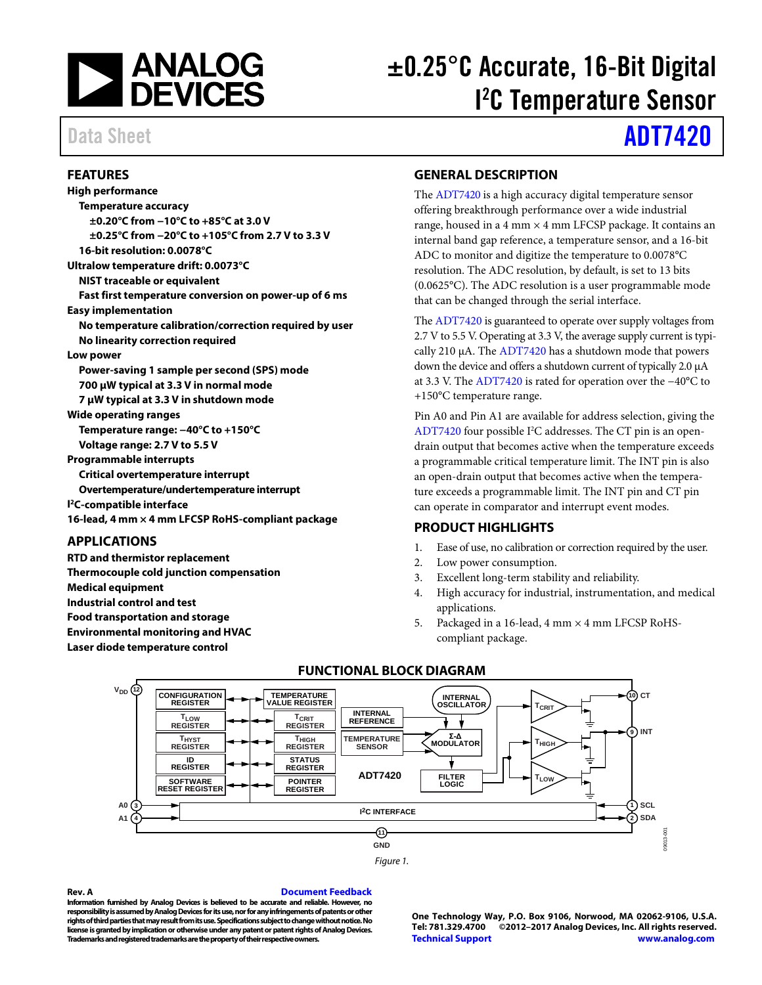

# ±0.25°C Accurate, 16-Bit Digital I 2 C Temperature Sensor

# Data Sheet **[ADT7420](http://www.analog.com/ADT7420?doc=ADT7420.pdf)**

### <span id="page-0-0"></span>**FEATURES**

**High performance Temperature accuracy ±0.20°C from −10°C to +85°C at 3.0 V ±0.25°C from −20°C to +105°C from 2.7 V to 3.3 V 16-bit resolution: 0.0078°C Ultralow temperature drift: 0.0073°C NIST traceable or equivalent Fast first temperature conversion on power-up of 6 ms Easy implementation No temperature calibration/correction required by user No linearity correction required Low power Power-saving 1 sample per second (SPS) mode 700 µW typical at 3.3 V in normal mode 7 µW typical at 3.3 V in shutdown mode Wide operating ranges Temperature range: −40°C to +150°C Voltage range: 2.7 V to 5.5 V Programmable interrupts Critical overtemperature interrupt Overtemperature/undertemperature interrupt I 2C-compatible interface 16-lead, 4 mm × 4 mm LFCSP RoHS-compliant package**

# <span id="page-0-1"></span>**APPLICATIONS**

**RTD and thermistor replacement Thermocouple cold junction compensation Medical equipment Industrial control and test Food transportation and storage Environmental monitoring and HVAC**

<span id="page-0-4"></span>**Laser diode temperature control**

# <span id="page-0-2"></span>**GENERAL DESCRIPTION**

The [ADT7420](http://www.analog.com/ADT7420?doc=ADT7420.pdf) is a high accuracy digital temperature sensor offering breakthrough performance over a wide industrial range, housed in a 4 mm  $\times$  4 mm LFCSP package. It contains an internal band gap reference, a temperature sensor, and a 16-bit ADC to monitor and digitize the temperature to 0.0078°C resolution. The ADC resolution, by default, is set to 13 bits (0.0625°C). The ADC resolution is a user programmable mode that can be changed through the serial interface.

Th[e ADT7420](http://www.analog.com/ADT7420?doc=ADT7420.pdf) is guaranteed to operate over supply voltages from 2.7 V to 5.5 V. Operating at 3.3 V, the average supply current is typically 210 μA. Th[e ADT7420](http://www.analog.com/ADT7420?doc=ADT7420.pdf) has a shutdown mode that powers down the device and offers a shutdown current of typically 2.0 μA at 3.3 V. Th[e ADT7420](http://www.analog.com/ADT7420?doc=ADT7420.pdf) is rated for operation over the −40°C to +150°C temperature range.

Pin A0 and Pin A1 are available for address selection, giving the [ADT7420](http://www.analog.com/ADT7420?doc=ADT7420.pdf) four possible I<sup>2</sup>C addresses. The CT pin is an opendrain output that becomes active when the temperature exceeds a programmable critical temperature limit. The INT pin is also an open-drain output that becomes active when the temperature exceeds a programmable limit. The INT pin and CT pin can operate in comparator and interrupt event modes.

# <span id="page-0-3"></span>**PRODUCT HIGHLIGHTS**

- 1. Ease of use, no calibration or correction required by the user.
- 2. Low power consumption.
- 3. Excellent long-term stability and reliability.
- 4. High accuracy for industrial, instrumentation, and medical applications.
- 5. Packaged in a 16-lead, 4 mm × 4 mm LFCSP RoHScompliant package.



# **FUNCTIONAL BLOCK DIAGRAM**

**Rev. A [Document Feedback](https://form.analog.com/Form_Pages/feedback/documentfeedback.aspx?doc=ADT7420.pdf&product=ADT7420&rev=A)**

**Information furnished by Analog Devices is believed to be accurate and reliable. However, no responsibility is assumed by Analog Devices for its use, nor for any infringements of patents or other rights of third parties that may result from its use. Specifications subject to change without notice. No license is granted by implication or otherwise under any patent or patent rights of Analog Devices. Trademarks and registered trademarks are the property of their respective owners.**

**One Technology Way, P.O. Box 9106, Norwood, MA 02062-9106, U.S.A. Tel: 781.329.4700 ©2012–2017 Analog Devices, Inc. All rights reserved. [Technical Support](http://www.analog.com/en/content/technical_support_page/fca.html) [www.analog.com](http://www.analog.com/)**

09013-001

0013-001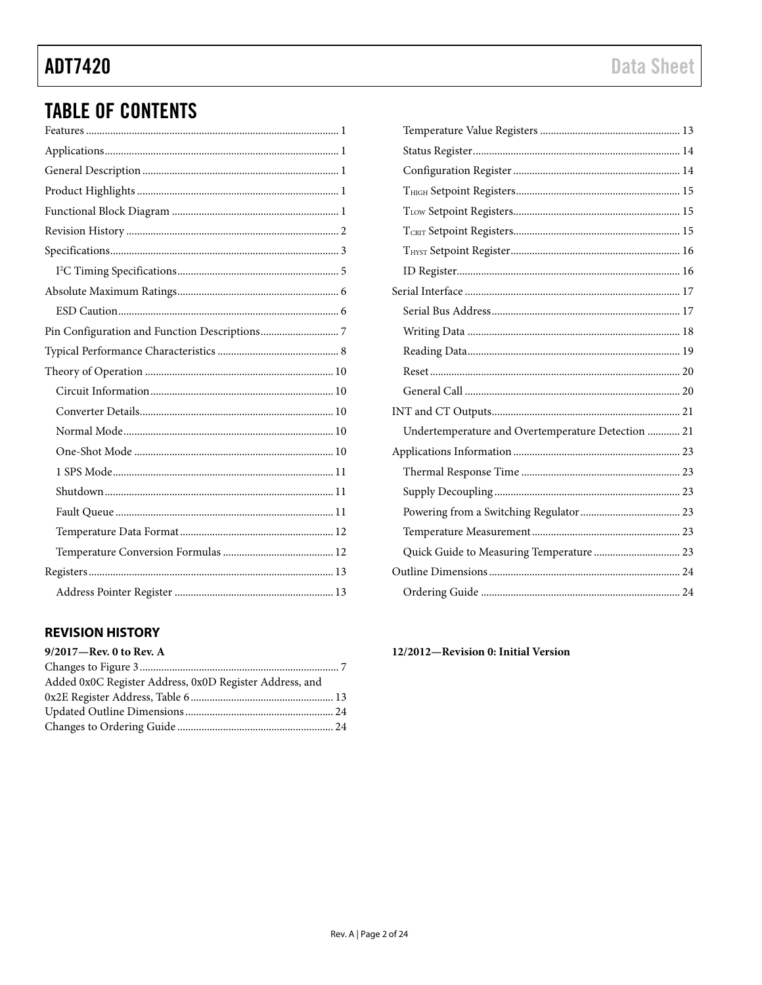# **TABLE OF CONTENTS**

# <span id="page-1-0"></span>**REVISION HISTORY**

| 9/2017-Rev. 0 to Rev. A                                 |  |
|---------------------------------------------------------|--|
|                                                         |  |
| Added 0x0C Register Address, 0x0D Register Address, and |  |
|                                                         |  |
|                                                         |  |
|                                                         |  |

| Undertemperature and Overtemperature Detection  21 |  |
|----------------------------------------------------|--|
|                                                    |  |
|                                                    |  |
|                                                    |  |
|                                                    |  |
|                                                    |  |
| Quick Guide to Measuring Temperature  23           |  |
|                                                    |  |
|                                                    |  |

12/2012-Revision 0: Initial Version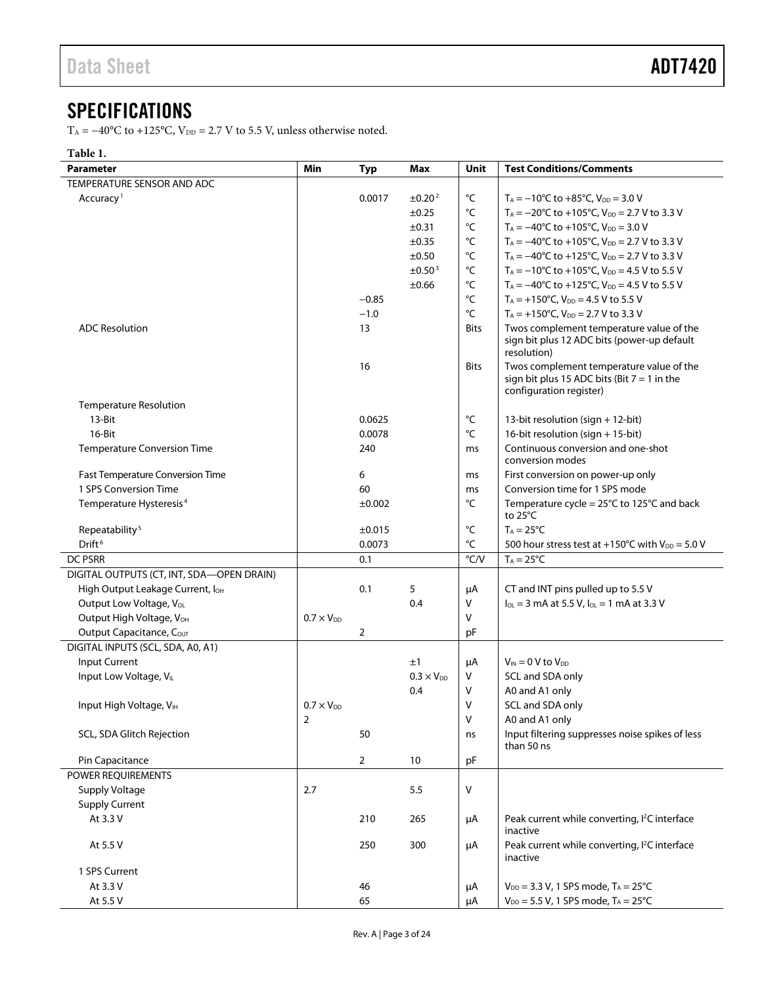# <span id="page-2-0"></span>**SPECIFICATIONS**

T<sub>A</sub> = −40°C to +125°C, V<sub>DD</sub> = 2.7 V to 5.5 V, unless otherwise noted.

#### **Table 1.**

| <b>Parameter</b>                          | Min                 | <b>Typ</b>     | Max                 | <b>Unit</b>       | <b>Test Conditions/Comments</b>                                                                                      |
|-------------------------------------------|---------------------|----------------|---------------------|-------------------|----------------------------------------------------------------------------------------------------------------------|
| TEMPERATURE SENSOR AND ADC                |                     |                |                     |                   |                                                                                                                      |
| Accuracy <sup>1</sup>                     |                     | 0.0017         | ±0.20 <sup>2</sup>  | °C                | $T_A = -10^{\circ}C$ to $+85^{\circ}C$ , $V_{DD} = 3.0$ V                                                            |
|                                           |                     |                | ±0.25               | °C                | $T_A = -20^{\circ}$ C to +105 $^{\circ}$ C, V <sub>DD</sub> = 2.7 V to 3.3 V                                         |
|                                           |                     |                | ±0.31               | °C                | $T_A = -40^{\circ}C$ to $+105^{\circ}C$ , $V_{DD} = 3.0$ V                                                           |
|                                           |                     |                | $\pm 0.35$          | $^{\circ}{\sf C}$ | $T_A = -40^{\circ}$ C to +105 $^{\circ}$ C, V <sub>DD</sub> = 2.7 V to 3.3 V                                         |
|                                           |                     |                | ±0.50               | $^{\circ}{\sf C}$ | $T_A = -40^{\circ}C$ to $+125^{\circ}C$ , $V_{DD} = 2.7$ V to 3.3 V                                                  |
|                                           |                     |                | ±0.50 <sup>3</sup>  | °C                | $T_A = -10^{\circ}C$ to $+105^{\circ}C$ , $V_{DD} = 4.5$ V to 5.5 V                                                  |
|                                           |                     |                | $\pm 0.66$          | °C                | $T_A = -40^{\circ}$ C to +125 $^{\circ}$ C, V <sub>DD</sub> = 4.5 V to 5.5 V                                         |
|                                           |                     | $-0.85$        |                     | °C                | $T_A = +150$ °C, $V_{DD} = 4.5$ V to 5.5 V                                                                           |
|                                           |                     | $-1.0$         |                     | °C                | $T_A = +150$ °C, $V_{DD} = 2.7$ V to 3.3 V                                                                           |
| <b>ADC Resolution</b>                     |                     | 13             |                     | Bits              | Twos complement temperature value of the<br>sign bit plus 12 ADC bits (power-up default<br>resolution)               |
|                                           |                     | 16             |                     | <b>Bits</b>       | Twos complement temperature value of the<br>sign bit plus 15 ADC bits (Bit $7 = 1$ in the<br>configuration register) |
| <b>Temperature Resolution</b>             |                     |                |                     |                   |                                                                                                                      |
| 13-Bit                                    |                     | 0.0625         |                     | °C                | 13-bit resolution (sign + 12-bit)                                                                                    |
| 16-Bit                                    |                     | 0.0078         |                     | °C                | 16-bit resolution (sign + 15-bit)                                                                                    |
| <b>Temperature Conversion Time</b>        |                     | 240            |                     | ms                | Continuous conversion and one-shot<br>conversion modes                                                               |
| Fast Temperature Conversion Time          |                     | 6              |                     | ms                | First conversion on power-up only                                                                                    |
| 1 SPS Conversion Time                     |                     | 60             |                     | ms                | Conversion time for 1 SPS mode                                                                                       |
| Temperature Hysteresis <sup>4</sup>       |                     | ±0.002         |                     | °C                | Temperature cycle = $25^{\circ}$ C to 125 $^{\circ}$ C and back<br>to $25^{\circ}$ C                                 |
| Repeatability <sup>5</sup>                |                     | ±0.015         |                     | °C                | $T_A = 25^{\circ}C$                                                                                                  |
| Drift <sup>6</sup>                        |                     | 0.0073         |                     | °C                | 500 hour stress test at +150°C with $V_{DD} = 5.0 V$                                                                 |
| <b>DC PSRR</b>                            |                     | 0.1            |                     | $\degree$ C/V     | $T_A = 25^{\circ}C$                                                                                                  |
| DIGITAL OUTPUTS (CT, INT, SDA-OPEN DRAIN) |                     |                |                     |                   |                                                                                                                      |
| High Output Leakage Current, loH          |                     | 0.1            | 5                   | μA                | CT and INT pins pulled up to 5.5 V                                                                                   |
| Output Low Voltage, VOL                   |                     |                | 0.4                 | v                 | $I_{OL} = 3$ mA at 5.5 V, $I_{OL} = 1$ mA at 3.3 V                                                                   |
| Output High Voltage, VOH                  | $0.7 \times V_{DD}$ |                |                     | v                 |                                                                                                                      |
| Output Capacitance, COUT                  |                     | 2              |                     | pF                |                                                                                                                      |
| DIGITAL INPUTS (SCL, SDA, A0, A1)         |                     |                |                     |                   |                                                                                                                      |
| Input Current                             |                     |                | ±1                  | μA                | $V_{IN}$ = 0 V to $V_{DD}$                                                                                           |
| Input Low Voltage, VIL                    |                     |                | $0.3 \times V_{DD}$ | v                 | SCL and SDA only                                                                                                     |
|                                           |                     |                | 0.4                 | v                 | A0 and A1 only                                                                                                       |
| Input High Voltage, VIH                   | $0.7 \times V_{DD}$ |                |                     | V                 | SCL and SDA only                                                                                                     |
|                                           | 2                   |                |                     | ٧                 | A0 and A1 only                                                                                                       |
| SCL, SDA Glitch Rejection                 |                     | 50             |                     | ns                | Input filtering suppresses noise spikes of less<br>than 50 ns                                                        |
| Pin Capacitance                           |                     | $\overline{2}$ | 10                  | pF                |                                                                                                                      |
| POWER REQUIREMENTS                        |                     |                |                     |                   |                                                                                                                      |
| Supply Voltage                            | 2.7                 |                | 5.5                 | V                 |                                                                                                                      |
| <b>Supply Current</b>                     |                     |                |                     |                   |                                                                                                                      |
| At 3.3 V                                  |                     | 210            | 265                 | μA                | Peak current while converting, I <sup>2</sup> C interface<br>inactive                                                |
| At 5.5 V                                  |                     | 250            | 300                 | μA                | Peak current while converting, I <sup>2</sup> C interface<br>inactive                                                |
| 1 SPS Current                             |                     |                |                     |                   |                                                                                                                      |
| At 3.3 V                                  |                     | 46             |                     | μA                | $V_{DD} = 3.3 V$ , 1 SPS mode, $T_A = 25^{\circ}C$                                                                   |
| At 5.5 V                                  |                     | 65             |                     | μA                | $V_{DD} = 5.5 V$ , 1 SPS mode, $T_A = 25^{\circ}C$                                                                   |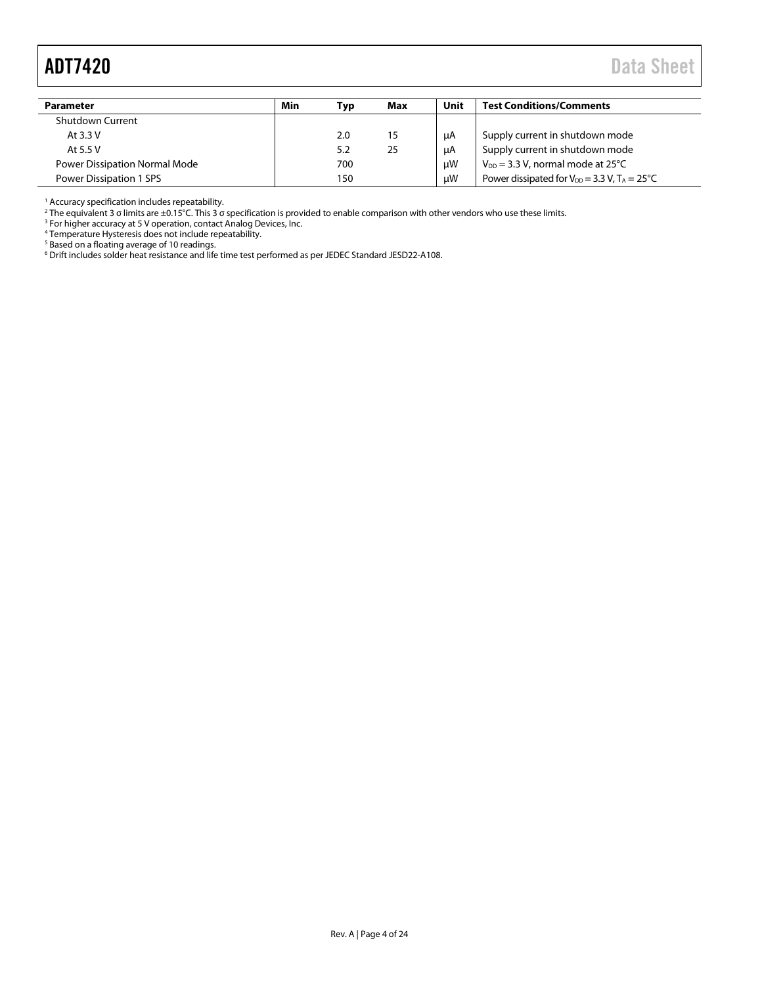# <span id="page-3-0"></span>ADT7420 Data Sheet

| Parameter                            | Min | Typ | Max | Unit | <b>Test Conditions/Comments</b>                            |
|--------------------------------------|-----|-----|-----|------|------------------------------------------------------------|
| Shutdown Current                     |     |     |     |      |                                                            |
| At 3.3 V                             |     | 2.0 | 15  | μA   | Supply current in shutdown mode                            |
| At 5.5 V                             |     | 5.2 | 25  | μA   | Supply current in shutdown mode                            |
| <b>Power Dissipation Normal Mode</b> |     | 700 |     | μW   | $V_{DD}$ = 3.3 V, normal mode at 25°C                      |
| Power Dissipation 1 SPS              |     | 150 |     | uW   | Power dissipated for $V_{DD} = 3.3$ V, $T_A = 25^{\circ}C$ |

<sup>1</sup> Accuracy specification includes repeatability.

<sup>2</sup> The equivalent 3 σ limits are ±0.15°C. This 3 σ specification is provided to enable comparison with other vendors who use these limits.

<sup>3</sup> For higher accuracy at 5 V operation, contact Analog Devices, Inc.

<sup>4</sup> Temperature Hysteresis does not include repeatability.

<sup>5</sup> Based on a floating average of 10 readings.

 $^6$  Drift includes solder heat resistance and life time test performed as per JEDEC Standard JESD22-A108.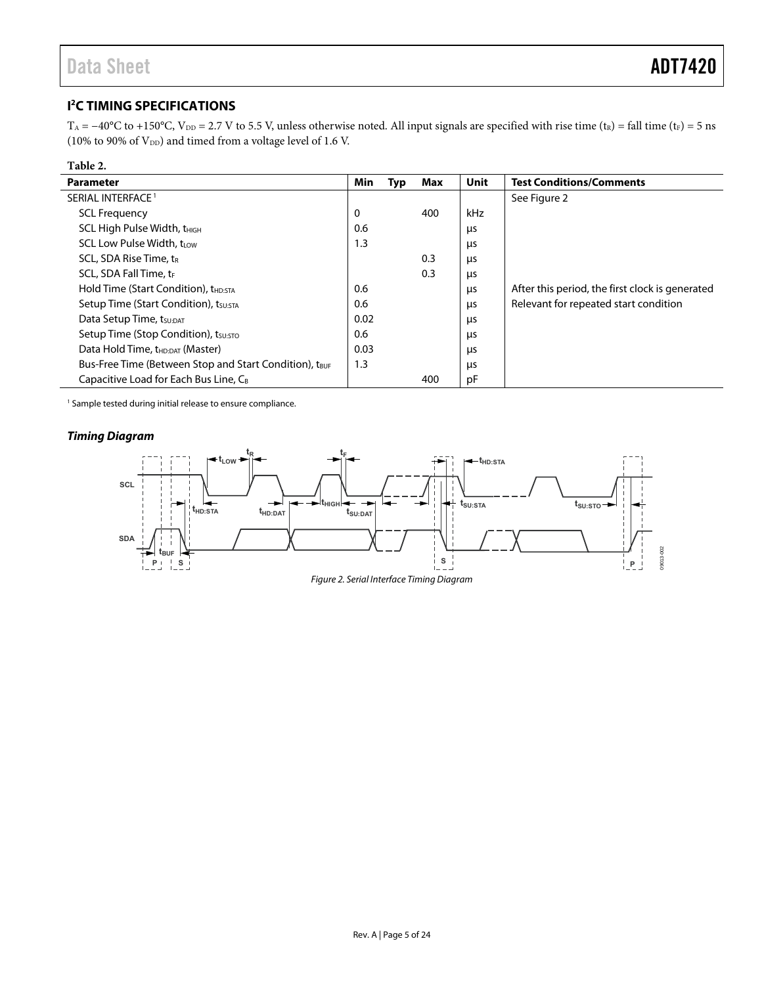# <span id="page-4-0"></span>**I 2 C TIMING SPECIFICATIONS**

T<sub>A</sub> = −40°C to +150°C, V<sub>DD</sub> = 2.7 V to 5.5 V, unless otherwise noted. All input signals are specified with rise time (t<sub>R</sub>) = fall time (t<sub>F</sub>) = 5 ns (10% to 90% of  $V_{\rm DD}$ ) and timed from a voltage level of 1.6 V.

| Table 2.                                               |      |     |     |      |                                                 |
|--------------------------------------------------------|------|-----|-----|------|-------------------------------------------------|
| <b>Parameter</b>                                       | Min  | Typ | Max | Unit | <b>Test Conditions/Comments</b>                 |
| SERIAL INTERFACE <sup>1</sup>                          |      |     |     |      | See Figure 2                                    |
| <b>SCL Frequency</b>                                   | 0    |     | 400 | kHz  |                                                 |
| SCL High Pulse Width, t <sub>HIGH</sub>                | 0.6  |     |     | μs   |                                                 |
| <b>SCL Low Pulse Width, trow</b>                       | 1.3  |     |     | μs   |                                                 |
| SCL, SDA Rise Time, $t_R$                              |      |     | 0.3 | μs   |                                                 |
| SCL, SDA Fall Time, tr                                 |      |     | 0.3 | μs   |                                                 |
| Hold Time (Start Condition), t <sub>HD:STA</sub>       | 0.6  |     |     | μs   | After this period, the first clock is generated |
| Setup Time (Start Condition), tsu:STA                  | 0.6  |     |     | μs   | Relevant for repeated start condition           |
| Data Setup Time, tsu:DAT                               | 0.02 |     |     | μs   |                                                 |
| Setup Time (Stop Condition), tsu:STO                   | 0.6  |     |     | μs   |                                                 |
| Data Hold Time, t <sub>HD:DAT</sub> (Master)           | 0.03 |     |     | μs   |                                                 |
| Bus-Free Time (Between Stop and Start Condition), tBUF | 1.3  |     |     | μs   |                                                 |
| Capacitive Load for Each Bus Line, C <sub>B</sub>      |      |     | 400 | pF   |                                                 |

1 Sample tested during initial release to ensure compliance.

### **Timing Diagram**

l.

<span id="page-4-1"></span>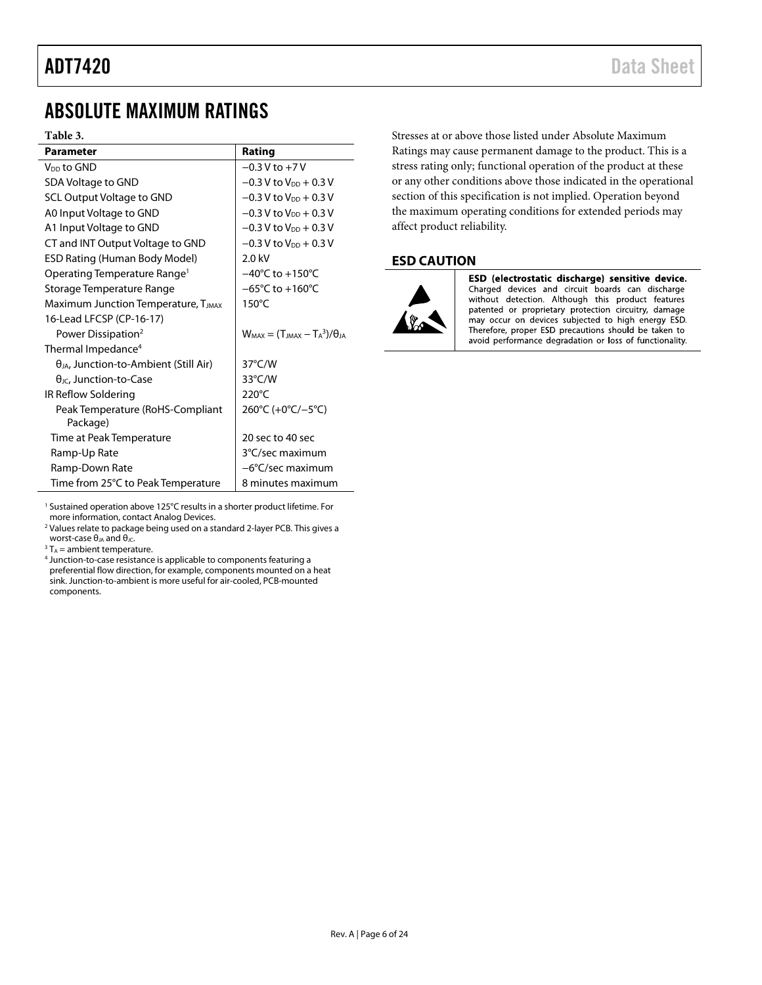# <span id="page-5-0"></span>ABSOLUTE MAXIMUM RATINGS

#### **Table 3.**

| <b>Parameter</b>                                | Rating                                    |
|-------------------------------------------------|-------------------------------------------|
| V <sub>DD</sub> to GND                          | $-0.3 V$ to $+7V$                         |
| SDA Voltage to GND                              | $-0.3$ V to $V_{DD}$ + 0.3 V              |
| SCL Output Voltage to GND                       | $-0.3$ V to V <sub>DD</sub> + 0.3 V       |
| A0 Input Voltage to GND                         | $-0.3$ V to $V_{DD}$ + 0.3 V              |
| A1 Input Voltage to GND                         | $-0.3$ V to $V_{DD}$ + 0.3 V              |
| CT and INT Output Voltage to GND                | $-0.3$ V to $V_{DD}$ + 0.3 V              |
| <b>ESD Rating (Human Body Model)</b>            | $2.0$ kV                                  |
| Operating Temperature Range <sup>1</sup>        | $-40^{\circ}$ C to $+150^{\circ}$ C       |
| Storage Temperature Range                       | $-65^{\circ}$ C to $+160^{\circ}$ C       |
| Maximum Junction Temperature, TJMAX             | $150^{\circ}$ C                           |
| 16-Lead LFCSP (CP-16-17)                        |                                           |
| Power Dissipation <sup>2</sup>                  | $W_{MAX} = (T_{MAX} - T_A^3)/\theta_{IA}$ |
| Thermal Impedance <sup>4</sup>                  |                                           |
| $\theta_{JA}$ , Junction-to-Ambient (Still Air) | $37^{\circ}$ C/W                          |
| $\theta$ <sub>JC</sub> , Junction-to-Case       | 33°C/W                                    |
| IR Reflow Soldering                             | $220^{\circ}$ C                           |
| Peak Temperature (RoHS-Compliant<br>Package)    | 260°C (+0°C/-5°C)                         |
| Time at Peak Temperature                        | 20 sec to 40 sec                          |
| Ramp-Up Rate                                    | 3°C/sec maximum                           |
| Ramp-Down Rate                                  | -6°C/sec maximum                          |
| Time from 25°C to Peak Temperature              | 8 minutes maximum                         |

<sup>1</sup> Sustained operation above 125°C results in a shorter product lifetime. For more information, contact Analog Devices.

<sup>2</sup> Values relate to package being used on a standard 2-layer PCB. This gives a worst-case  $\theta_{JA}$  and  $\theta_{JC}$ .

 $3 T_A =$  ambient temperature.

<sup>4</sup> Junction-to-case resistance is applicable to components featuring a preferential flow direction, for example, components mounted on a heat sink. Junction-to-ambient is more useful for air-cooled, PCB-mounted components.

Stresses at or above those listed under Absolute Maximum Ratings may cause permanent damage to the product. This is a stress rating only; functional operation of the product at these or any other conditions above those indicated in the operational section of this specification is not implied. Operation beyond the maximum operating conditions for extended periods may affect product reliability.

### <span id="page-5-1"></span>**ESD CAUTION**



ESD (electrostatic discharge) sensitive device. Charged devices and circuit boards can discharge without detection. Although this product features patented or proprietary protection circuitry, damage may occur on devices subjected to high energy ESD. Therefore, proper ESD precautions should be taken to avoid performance degradation or loss of functionality.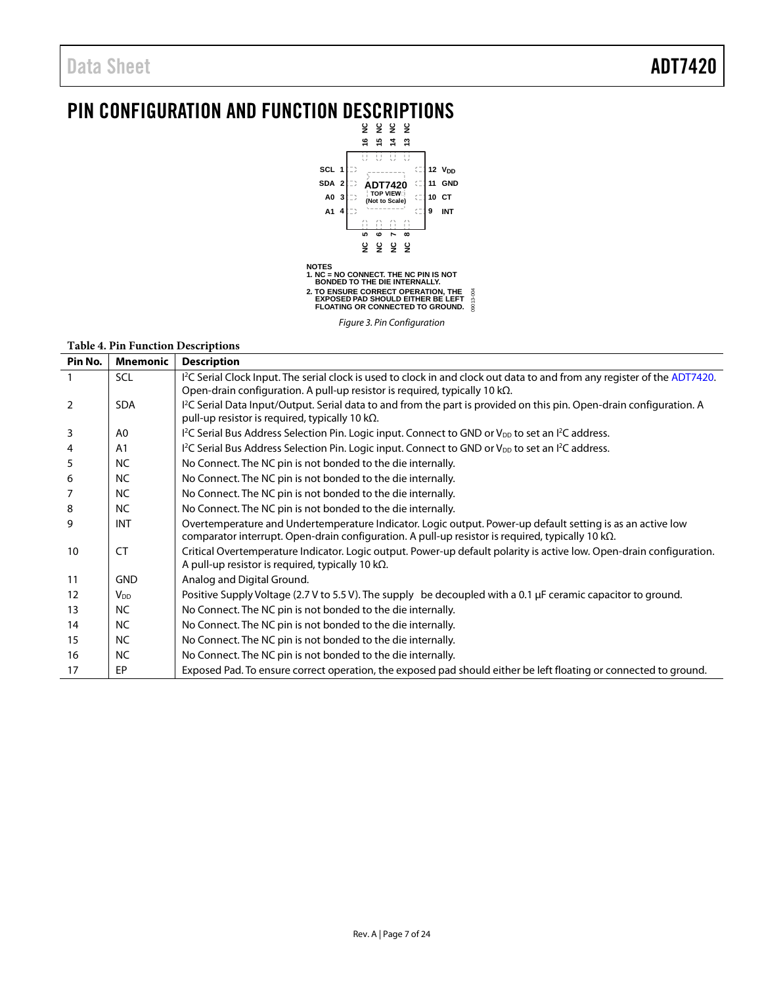# <span id="page-6-0"></span>PIN CONFIGURATION AND FUNCTION DESCRIPTIONS



*Figure 3. Pin Configuration*

#### **Table 4. Pin Function Descriptions**

| Pin No.        | <b>Mnemonic</b> | <b>Description</b>                                                                                                                                                                                                          |
|----------------|-----------------|-----------------------------------------------------------------------------------------------------------------------------------------------------------------------------------------------------------------------------|
|                | <b>SCL</b>      | <sup>12</sup> C Serial Clock Input. The serial clock is used to clock in and clock out data to and from any register of the ADT7420.<br>Open-drain configuration. A pull-up resistor is required, typically 10 k $\Omega$ . |
| $\overline{2}$ | <b>SDA</b>      | I <sup>2</sup> C Serial Data Input/Output. Serial data to and from the part is provided on this pin. Open-drain configuration. A<br>pull-up resistor is required, typically 10 k $\Omega$ .                                 |
| 3              | A <sub>0</sub>  | I <sup>2</sup> C Serial Bus Address Selection Pin. Logic input. Connect to GND or V <sub>DD</sub> to set an I <sup>2</sup> C address.                                                                                       |
| 4              | A <sub>1</sub>  | $1^2$ C Serial Bus Address Selection Pin. Logic input. Connect to GND or V <sub>DD</sub> to set an $1^2$ C address.                                                                                                         |
| 5              | <b>NC</b>       | No Connect. The NC pin is not bonded to the die internally.                                                                                                                                                                 |
| 6              | <b>NC</b>       | No Connect. The NC pin is not bonded to the die internally.                                                                                                                                                                 |
| 7              | <b>NC</b>       | No Connect. The NC pin is not bonded to the die internally.                                                                                                                                                                 |
| 8              | <b>NC</b>       | No Connect. The NC pin is not bonded to the die internally.                                                                                                                                                                 |
| 9              | <b>INT</b>      | Overtemperature and Undertemperature Indicator. Logic output. Power-up default setting is as an active low<br>comparator interrupt. Open-drain configuration. A pull-up resistor is required, typically 10 kΩ.              |
| 10             | CT              | Critical Overtemperature Indicator. Logic output. Power-up default polarity is active low. Open-drain configuration.<br>A pull-up resistor is required, typically 10 k $\Omega$ .                                           |
| 11             | <b>GND</b>      | Analog and Digital Ground.                                                                                                                                                                                                  |
| 12             | V <sub>DD</sub> | Positive Supply Voltage (2.7 V to 5.5 V). The supply be decoupled with a 0.1 µF ceramic capacitor to ground.                                                                                                                |
| 13             | <b>NC</b>       | No Connect. The NC pin is not bonded to the die internally.                                                                                                                                                                 |
| 14             | <b>NC</b>       | No Connect. The NC pin is not bonded to the die internally.                                                                                                                                                                 |
| 15             | <b>NC</b>       | No Connect. The NC pin is not bonded to the die internally.                                                                                                                                                                 |
| 16             | <b>NC</b>       | No Connect. The NC pin is not bonded to the die internally.                                                                                                                                                                 |
| 17             | EP              | Exposed Pad. To ensure correct operation, the exposed pad should either be left floating or connected to ground.                                                                                                            |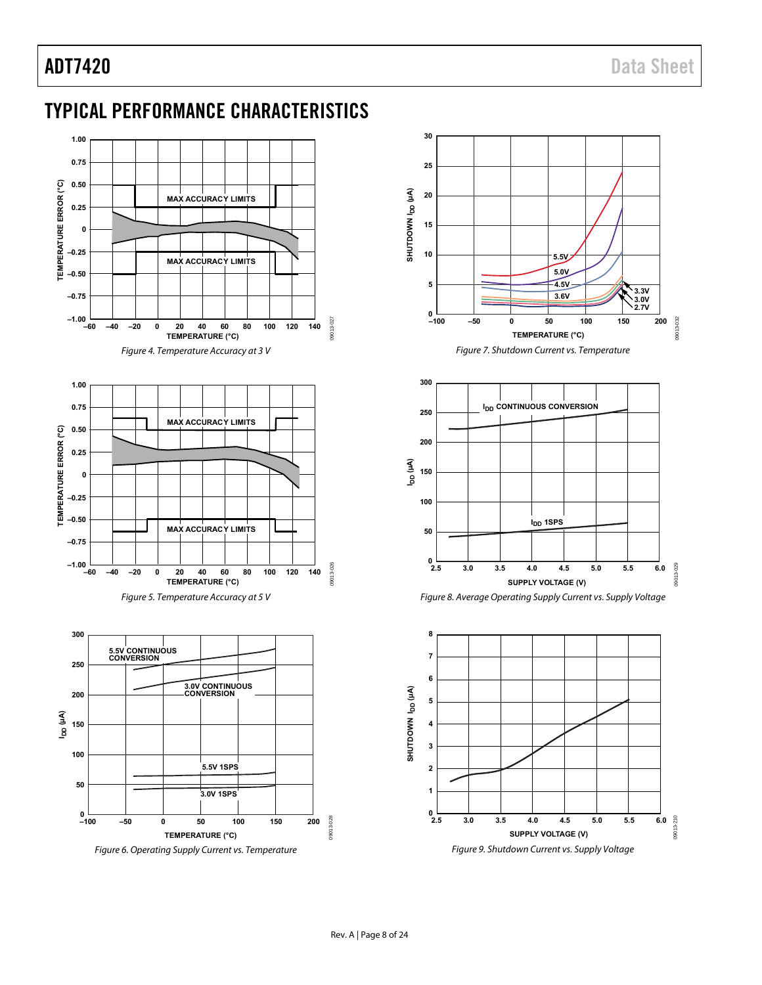# <span id="page-7-0"></span>TYPICAL PERFORMANCE CHARACTERISTICS









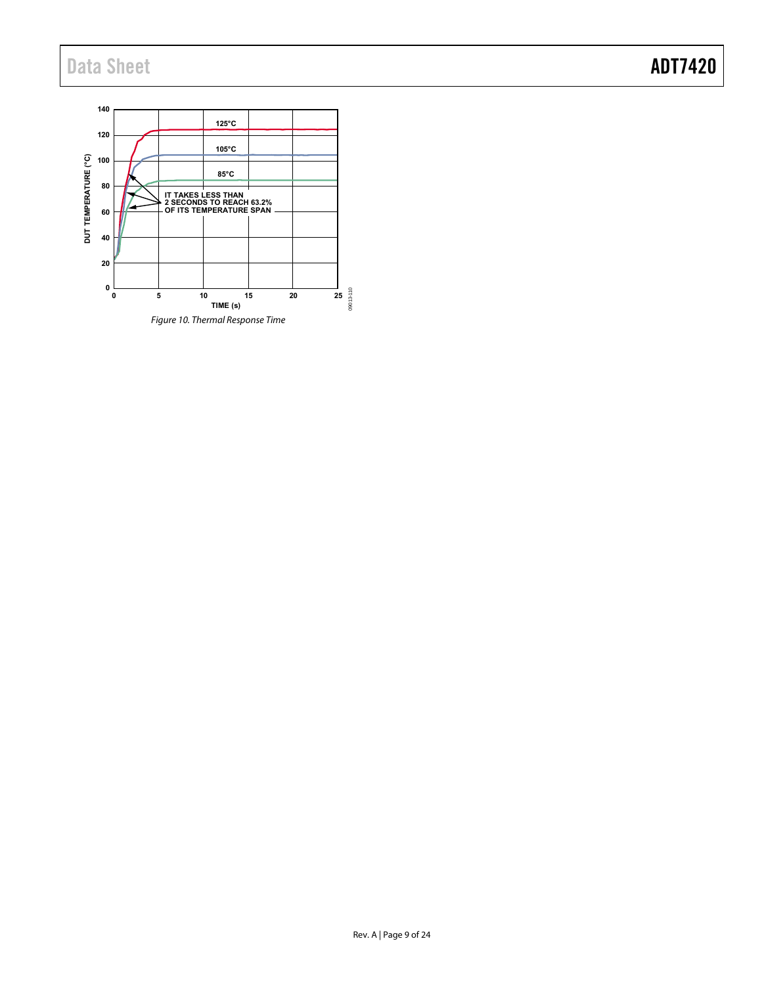# Data Sheet **ADT7420**

<span id="page-8-0"></span>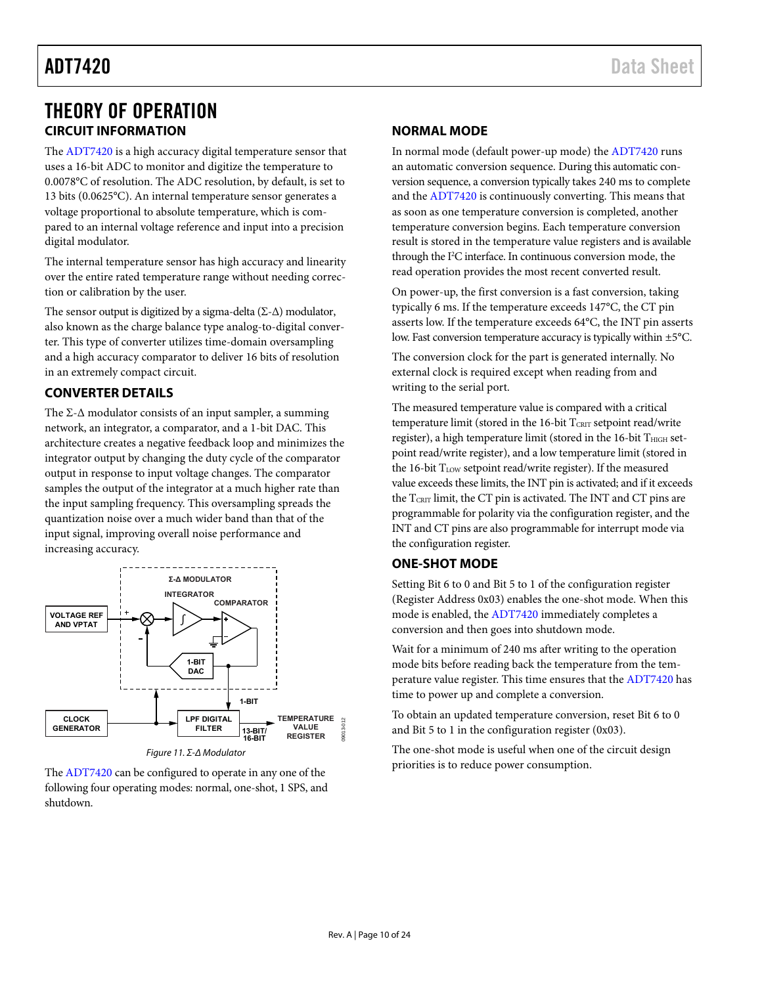# <span id="page-9-0"></span>THEORY OF OPERATION **CIRCUIT INFORMATION**

<span id="page-9-1"></span>The [ADT7420 i](http://www.analog.com/ADT7420?doc=ADT7420.pdf)s a high accuracy digital temperature sensor that uses a 16-bit ADC to monitor and digitize the temperature to 0.0078°C of resolution. The ADC resolution, by default, is set to 13 bits (0.0625°C). An internal temperature sensor generates a voltage proportional to absolute temperature, which is compared to an internal voltage reference and input into a precision digital modulator.

The internal temperature sensor has high accuracy and linearity over the entire rated temperature range without needing correction or calibration by the user.

The sensor output is digitized by a sigma-delta ( $\Sigma$ - $\Delta$ ) modulator, also known as the charge balance type analog-to-digital converter. This type of converter utilizes time-domain oversampling and a high accuracy comparator to deliver 16 bits of resolution in an extremely compact circuit.

# <span id="page-9-2"></span>**CONVERTER DETAILS**

The  $\Sigma$ - $\Delta$  modulator consists of an input sampler, a summing network, an integrator, a comparator, and a 1-bit DAC. This architecture creates a negative feedback loop and minimizes the integrator output by changing the duty cycle of the comparator output in response to input voltage changes. The comparator samples the output of the integrator at a much higher rate than the input sampling frequency. This oversampling spreads the quantization noise over a much wider band than that of the input signal, improving overall noise performance and increasing accuracy.



The [ADT7420 c](http://www.analog.com/ADT7420?doc=ADT7420.pdf)an be configured to operate in any one of the following four operating modes: normal, one-shot, 1 SPS, and shutdown.

## <span id="page-9-3"></span>**NORMAL MODE**

In normal mode (default power-up mode) th[e ADT7420](http://www.analog.com/ADT7420?doc=ADT7420.pdf) runs an automatic conversion sequence. During this automatic conversion sequence, a conversion typically takes 240 ms to complete and th[e ADT7420](http://www.analog.com/ADT7420?doc=ADT7420.pdf) is continuously converting. This means that as soon as one temperature conversion is completed, another temperature conversion begins. Each temperature conversion result is stored in the temperature value registers and is available through the I<sup>2</sup>C interface. In continuous conversion mode, the read operation provides the most recent converted result.

On power-up, the first conversion is a fast conversion, taking typically 6 ms. If the temperature exceeds 147°C, the CT pin asserts low. If the temperature exceeds 64°C, the INT pin asserts low. Fast conversion temperature accuracy is typically within ±5°C.

The conversion clock for the part is generated internally. No external clock is required except when reading from and writing to the serial port.

The measured temperature value is compared with a critical temperature limit (stored in the 16-bit  $T_{\text{CRIT}}$  setpoint read/write register), a high temperature limit (stored in the 16-bit THIGH setpoint read/write register), and a low temperature limit (stored in the 16-bit T<sub>LOW</sub> setpoint read/write register). If the measured value exceeds these limits, the INT pin is activated; and if it exceeds the TCRIT limit, the CT pin is activated. The INT and CT pins are programmable for polarity via the configuration register, and the INT and CT pins are also programmable for interrupt mode via the configuration register.

# <span id="page-9-4"></span>**ONE-SHOT MODE**

Setting Bit 6 to 0 and Bit 5 to 1 of the configuration register (Register Address 0x03) enables the one-shot mode. When this mode is enabled, the [ADT7420 i](http://www.analog.com/ADT7420?doc=ADT7420.pdf)mmediately completes a conversion and then goes into shutdown mode.

Wait for a minimum of 240 ms after writing to the operation mode bits before reading back the temperature from the temperature value register. This time ensures that th[e ADT7420](http://www.analog.com/ADT7420?doc=ADT7420.pdf) has time to power up and complete a conversion.

To obtain an updated temperature conversion, reset Bit 6 to 0 and Bit 5 to 1 in the configuration register (0x03).

The one-shot mode is useful when one of the circuit design priorities is to reduce power consumption.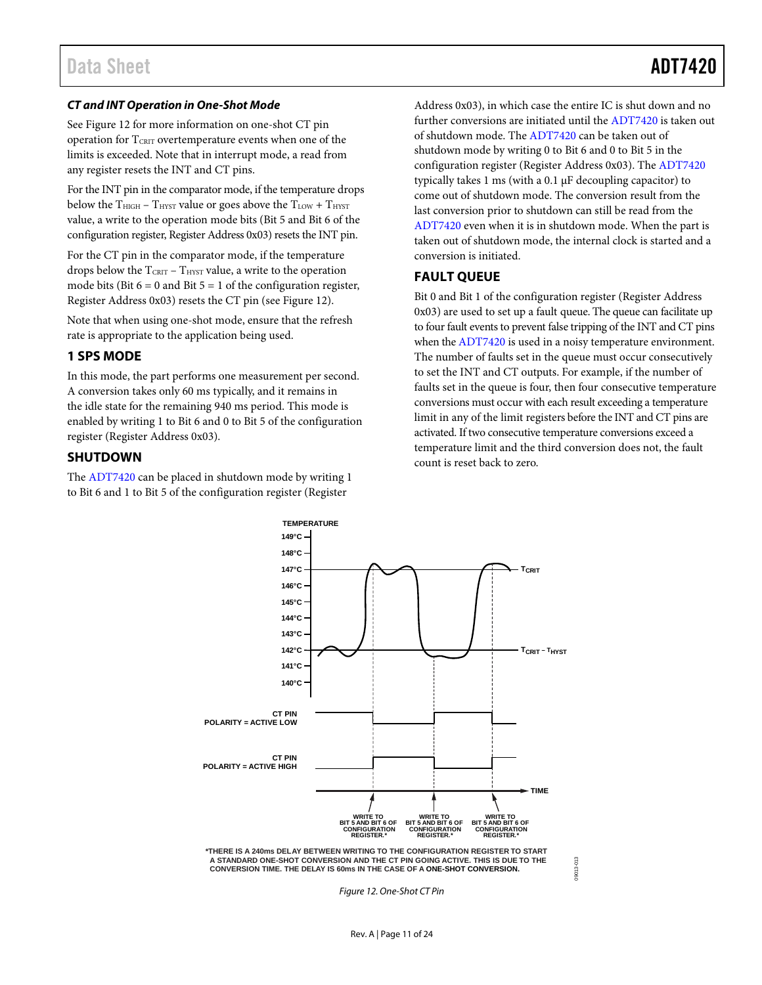### *CT and INT Operation in One-Shot Mode*

See [Figure 12](#page-10-3) for more information on one-shot CT pin operation for TCRIT overtemperature events when one of the limits is exceeded. Note that in interrupt mode, a read from any register resets the INT and CT pins.

For the INT pin in the comparator mode, if the temperature drops below the  $T_{\text{HIGH}}$  –  $T_{\text{HYST}}$  value or goes above the  $T_{\text{LOW}}$  +  $T_{\text{HYST}}$ value, a write to the operation mode bits (Bit 5 and Bit 6 of the configuration register, Register Address 0x03) resets the INT pin.

For the CT pin in the comparator mode, if the temperature drops below the  $T_{\text{CRIT}}$  –  $T_{\text{HYST}}$  value, a write to the operation mode bits (Bit  $6 = 0$  and Bit  $5 = 1$  of the configuration register, Register Address 0x03) resets the CT pin (se[e Figure 12\)](#page-10-3).

Note that when using one-shot mode, ensure that the refresh rate is appropriate to the application being used.

### <span id="page-10-0"></span>**1 SPS MODE**

In this mode, the part performs one measurement per second. A conversion takes only 60 ms typically, and it remains in the idle state for the remaining 940 ms period. This mode is enabled by writing 1 to Bit 6 and 0 to Bit 5 of the configuration register (Register Address 0x03).

#### <span id="page-10-1"></span>**SHUTDOWN**

The [ADT7420](http://www.analog.com/ADT7420?doc=ADT7420.pdf) can be placed in shutdown mode by writing 1 to Bit 6 and 1 to Bit 5 of the configuration register (Register

Address 0x03), in which case the entire IC is shut down and no further conversions are initiated until the [ADT7420](http://www.analog.com/ADT7420?doc=ADT7420.pdf) is taken out of shutdown mode. Th[e ADT7420](http://www.analog.com/ADT7420?doc=ADT7420.pdf) can be taken out of shutdown mode by writing 0 to Bit 6 and 0 to Bit 5 in the configuration register (Register Address 0x03). Th[e ADT7420](http://www.analog.com/ADT7420?doc=ADT7420.pdf) typically takes 1 ms (with a  $0.1 \mu$ F decoupling capacitor) to come out of shutdown mode. The conversion result from the last conversion prior to shutdown can still be read from the [ADT7420](http://www.analog.com/ADT7420?doc=ADT7420.pdf) even when it is in shutdown mode. When the part is taken out of shutdown mode, the internal clock is started and a conversion is initiated.

### <span id="page-10-2"></span>**FAULT QUEUE**

Bit 0 and Bit 1 of the configuration register (Register Address 0x03) are used to set up a fault queue. The queue can facilitate up to four fault events to prevent false tripping of the INT and CT pins when the [ADT7420](http://www.analog.com/ADT7420?doc=ADT7420.pdf) is used in a noisy temperature environment. The number of faults set in the queue must occur consecutively to set the INT and CT outputs. For example, if the number of faults set in the queue is four, then four consecutive temperature conversions must occur with each result exceeding a temperature limit in any of the limit registers before the INT and CT pins are activated. If two consecutive temperature conversions exceed a temperature limit and the third conversion does not, the fault count is reset back to zero.



<span id="page-10-3"></span>*Figure 12. One-Shot CT Pin*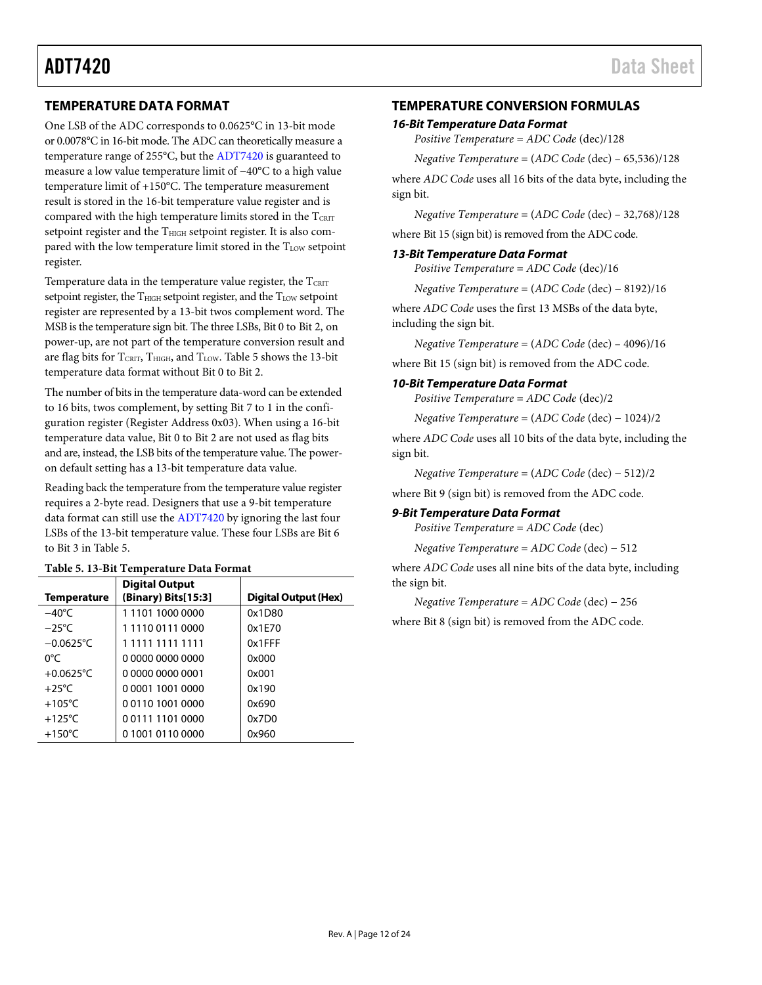## <span id="page-11-0"></span>**TEMPERATURE DATA FORMAT**

One LSB of the ADC corresponds to 0.0625°C in 13-bit mode or 0.0078°C in 16-bit mode. The ADC can theoretically measure a temperature range of 255°C, but the [ADT7420](http://www.analog.com/ADT7420?doc=ADT7420.pdf) is guaranteed to measure a low value temperature limit of −40°C to a high value temperature limit of +150°C. The temperature measurement result is stored in the 16-bit temperature value register and is compared with the high temperature limits stored in the  $T_{CRTT}$ setpoint register and the T<sub>HIGH</sub> setpoint register. It is also compared with the low temperature limit stored in the TLOW setpoint register.

Temperature data in the temperature value register, the  $T_{\text{CRIT}}$ setpoint register, the T<sub>HIGH</sub> setpoint register, and the T<sub>LOW</sub> setpoint register are represented by a 13-bit twos complement word. The MSB is the temperature sign bit. The three LSBs, Bit 0 to Bit 2, on power-up, are not part of the temperature conversion result and are flag bits for  $T_{\text{CRIT}}$ ,  $T_{\text{HIGH}}$ , and  $T_{\text{LOW}}$ [. Table 5](#page-11-2) shows the 13-bit temperature data format without Bit 0 to Bit 2.

The number of bits in the temperature data-word can be extended to 16 bits, twos complement, by setting Bit 7 to 1 in the configuration register (Register Address 0x03). When using a 16-bit temperature data value, Bit 0 to Bit 2 are not used as flag bits and are, instead, the LSB bits of the temperature value. The poweron default setting has a 13-bit temperature data value.

Reading back the temperature from the temperature value register requires a 2-byte read. Designers that use a 9-bit temperature data format can still use th[e ADT7420](http://www.analog.com/ADT7420?doc=ADT7420.pdf) by ignoring the last four LSBs of the 13-bit temperature value. These four LSBs are Bit 6 to Bit 3 i[n Table 5.](#page-11-2)

<span id="page-11-2"></span>

| Table 5. 13-Bit Temperature Data Format |
|-----------------------------------------|
|-----------------------------------------|

| <b>Temperature</b>  | <b>Digital Output</b><br>(Binary) Bits[15:3] | Digital Output (Hex) |
|---------------------|----------------------------------------------|----------------------|
| $-40^{\circ}$ C     | 1110110000000                                | 0x1D80               |
| $-25^{\circ}$ C     | 1111001110000                                | 0x1F70               |
| $-0.0625^{\circ}$ C | 1 1111 1111 1111                             | 0x1FFF               |
| 0°C                 | 0 0000 0000 0000                             | 0x000                |
| $+0.0625$ °C        | 0 0000 0000 0001                             | 0x001                |
| $+25^{\circ}$ C     | 0 0001 1001 0000                             | 0x190                |
| $+105^{\circ}$ C    | 0011010010000                                | 0x690                |
| $+125^{\circ}$ C    | 0011111010000                                | 0x7D0                |
| $+150^{\circ}$ C    | 0 1001 0110 0000                             | 0x960                |

### <span id="page-11-1"></span>**TEMPERATURE CONVERSION FORMULAS**

#### *16-Bit Temperature Data Format*

*Positive Temperature* = *ADC Code* (dec)/128

*Negative Temperature* = (*ADC Code* (dec) – 65,536)/128

where *ADC Code* uses all 16 bits of the data byte, including the sign bit.

*Negative Temperature* = (*ADC Code* (dec) – 32,768)/128

where Bit 15 (sign bit) is removed from the ADC code.

#### *13-Bit Temperature Data Format*

*Positive Temperature* = *ADC Code* (dec)/16

*Negative Temperature* = (*ADC Code* (dec) − 8192)/16

where *ADC Code* uses the first 13 MSBs of the data byte, including the sign bit.

*Negative Temperature* = (*ADC Code* (dec) – 4096)/16

where Bit 15 (sign bit) is removed from the ADC code.

#### *10-Bit Temperature Data Format*

*Positive Temperature* = *ADC Code* (dec)/2

*Negative Temperature* = (*ADC Code* (dec) − 1024)/2

where *ADC Code* uses all 10 bits of the data byte, including the sign bit.

*Negative Temperature* = (*ADC Code* (dec) − 512)/2

where Bit 9 (sign bit) is removed from the ADC code.

### *9-Bit Temperature Data Format*

*Positive Temperature* = *ADC Code* (dec)

*Negative Temperature* = *ADC Code* (dec) − 512

where *ADC Code* uses all nine bits of the data byte, including the sign bit.

*Negative Temperature* = *ADC Code* (dec) − 256

where Bit 8 (sign bit) is removed from the ADC code.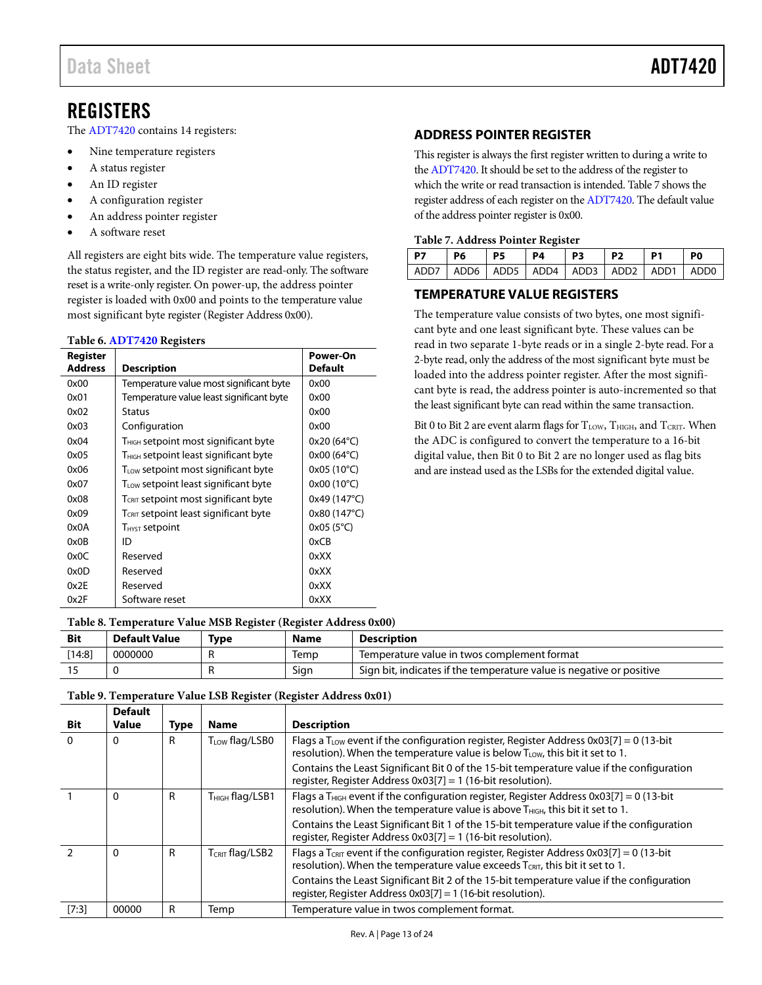# <span id="page-12-0"></span>REGISTERS

The [ADT7420](http://www.analog.com/ADT7420?doc=ADT7420.pdf) contains 14 registers:

- Nine temperature registers
- A status register
- An ID register
- A configuration register
- An address pointer register
- A software reset

All registers are eight bits wide. The temperature value registers, the status register, and the ID register are read-only. The software reset is a write-only register. On power-up, the address pointer register is loaded with 0x00 and points to the temperature value most significant byte register (Register Address 0x00).

#### <span id="page-12-4"></span>**Table 6[. ADT7420](http://www.analog.com/ADT7420?doc=ADT7420.pdf) Registers**

| Register       |                                                   | Power-On            |  |  |  |
|----------------|---------------------------------------------------|---------------------|--|--|--|
| <b>Address</b> | <b>Description</b>                                |                     |  |  |  |
| 0x00           | Temperature value most significant byte           | 0x00                |  |  |  |
| 0x01           | Temperature value least significant byte          | 0x00                |  |  |  |
| 0x02           | <b>Status</b>                                     | 0x00                |  |  |  |
| 0x03           | Configuration                                     | 0x00                |  |  |  |
| 0x04           | $T_{\rm HIGH}$ setpoint most significant byte     | $0x20(64^{\circ}C)$ |  |  |  |
| 0x05           | T <sub>HIGH</sub> setpoint least significant byte | $0x00(64^{\circ}C)$ |  |  |  |
| 0x06           | $T_{LOW}$ setpoint most significant byte          | 0x05 (10°C)         |  |  |  |
| 0x07           | T <sub>LOW</sub> setpoint least significant byte  | $0x00(10^{\circ}C)$ |  |  |  |
| 0x08           | T <sub>CRIT</sub> setpoint most significant byte  | 0x49 (147°C)        |  |  |  |
| 0x09           | T <sub>CRIT</sub> setpoint least significant byte | 0x80 (147°C)        |  |  |  |
| 0x0A           | T <sub>HYST</sub> setpoint                        | $0x05(5^{\circ}C)$  |  |  |  |
| 0x0B           | ID                                                | 0xCB                |  |  |  |
| 0x0C           | Reserved                                          | 0xXX                |  |  |  |
| 0x0D           | Reserved                                          | 0xXX                |  |  |  |
| 0x2E           | Reserved                                          | 0xXX                |  |  |  |
| 0x2F           | Software reset                                    | 0xXX                |  |  |  |

### <span id="page-12-1"></span>**ADDRESS POINTER REGISTER**

This register is always the first register written to during a write to th[e ADT7420.](http://www.analog.com/ADT7420?doc=ADT7420.pdf) It should be set to the address of the register to which the write or read transaction is intended[. Table 7](#page-12-3) shows the register address of each register on the [ADT7420.](http://www.analog.com/ADT7420?doc=ADT7420.pdf) The default value of the address pointer register is 0x00.

#### <span id="page-12-3"></span>**Table 7. Address Pointer Register**

| P7                                                    | P6 | $\overline{P5}$ | P4 | P3 | P <sub>2</sub> | P <sub>1</sub> | P0 |
|-------------------------------------------------------|----|-----------------|----|----|----------------|----------------|----|
| ADD7   ADD6   ADD5   ADD4   ADD3   ADD2   ADD1   ADD0 |    |                 |    |    |                |                |    |

### <span id="page-12-2"></span>**TEMPERATURE VALUE REGISTERS**

The temperature value consists of two bytes, one most significant byte and one least significant byte. These values can be read in two separate 1-byte reads or in a single 2-byte read. For a 2-byte read, only the address of the most significant byte must be loaded into the address pointer register. After the most significant byte is read, the address pointer is auto-incremented so that the least significant byte can read within the same transaction.

Bit 0 to Bit 2 are event alarm flags for  $T_{LOW}$ ,  $T_{HIGH}$ , and  $T_{CRIT}$ . When the ADC is configured to convert the temperature to a 16-bit digital value, then Bit 0 to Bit 2 are no longer used as flag bits and are instead used as the LSBs for the extended digital value.

#### **Table 8. Temperature Value MSB Register (Register Address 0x00)**

| <b>Bit</b> | <b>Default Value</b> | Type | <b>Name</b> | <b>Description</b>                                                   |
|------------|----------------------|------|-------------|----------------------------------------------------------------------|
| [14:8]     | 0000000              |      | Iemp        | Temperature value in twos complement format                          |
|            |                      |      | Sign        | Sign bit, indicates if the temperature value is negative or positive |

#### **Bit Default Value Type Name Description**  0  $\vert$  0 R  $\vert$  T<sub>LOW</sub> flag/LSB0 Flags a T<sub>LOW</sub> event if the configuration register, Register Address 0x03[7] = 0 (13-bit resolution). When the temperature value is below  $T_{LOW}$ , this bit it set to 1. Contains the Least Significant Bit 0 of the 15-bit temperature value if the configuration register, Register Address 0x03[7] = 1 (16-bit resolution). 1  $\vert$  0 R  $\vert$  T<sub>HIGH</sub> flag/LSB1 Flags a T<sub>HIGH</sub> event if the configuration register, Register Address 0x03[7] = 0 (13-bit resolution). When the temperature value is above  $T_{HIGH}$ , this bit it set to 1. Contains the Least Significant Bit 1 of the 15-bit temperature value if the configuration register, Register Address 0x03[7] = 1 (16-bit resolution). 2  $\vert$  0  $\vert$  R  $\vert$  T<sub>CRIT</sub> flag/LSB2  $\vert$  Flags a T<sub>CRIT</sub> event if the configuration register, Register Address 0x03[7] = 0 (13-bit resolution). When the temperature value exceeds  $T_{CRIT}$ , this bit it set to 1. Contains the Least Significant Bit 2 of the 15-bit temperature value if the configuration register, Register Address 0x03[7] = 1 (16-bit resolution). [7:3] | 00000 | R | Temp | Temperature value in twos complement format.

#### **Table 9. Temperature Value LSB Register (Register Address 0x01)**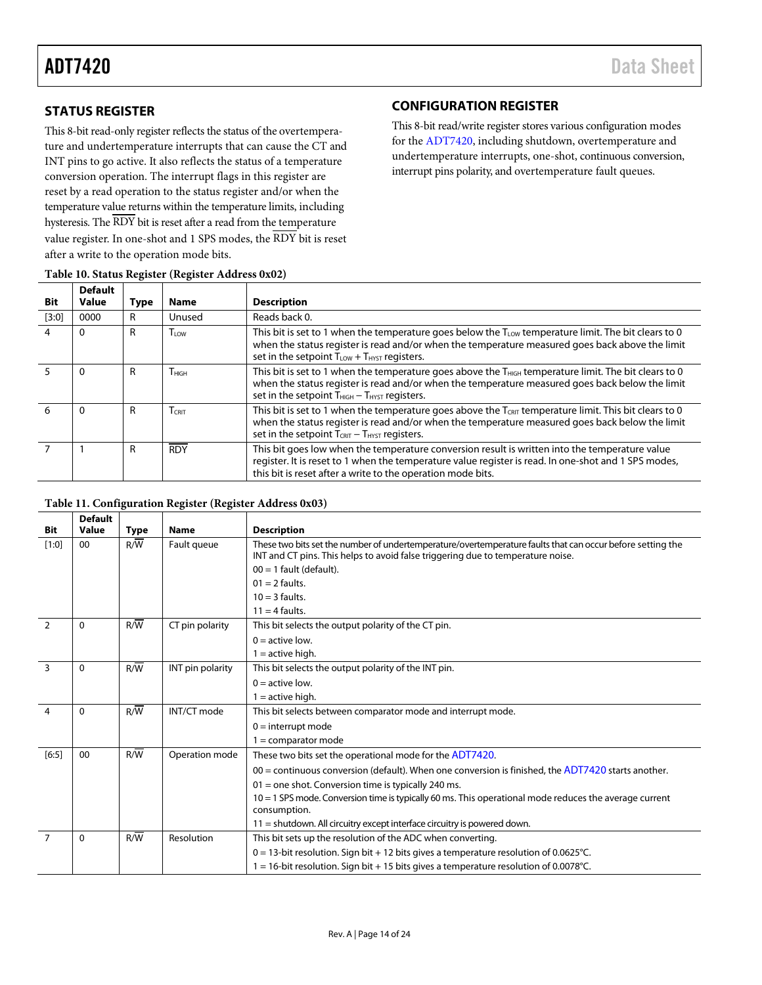# <span id="page-13-0"></span>**STATUS REGISTER**

This 8-bit read-only register reflects the status of the overtemperature and undertemperature interrupts that can cause the CT and INT pins to go active. It also reflects the status of a temperature conversion operation. The interrupt flags in this register are reset by a read operation to the status register and/or when the temperature value returns within the temperature limits, including hysteresis. The RDY bit is reset after a read from the temperature value register. In one-shot and 1 SPS modes, the RDY bit is reset after a write to the operation mode bits.

# <span id="page-13-1"></span>*31B***CONFIGURATION REGISTER**

This 8-bit read/write register stores various configuration modes for th[e ADT7420,](http://www.analog.com/ADT7420?doc=ADT7420.pdf) including shutdown, overtemperature and undertemperature interrupts, one-shot, continuous conversion, interrupt pins polarity, and overtemperature fault queues.

| Bit     | <b>Default</b><br>Value | <b>Type</b> | <b>Name</b>       | <b>Description</b>                                                                                                                                                                                                                                                           |
|---------|-------------------------|-------------|-------------------|------------------------------------------------------------------------------------------------------------------------------------------------------------------------------------------------------------------------------------------------------------------------------|
| $[3:0]$ | 0000                    | R           | Unused            | Reads back 0.                                                                                                                                                                                                                                                                |
|         | 0                       | R           | $I_{10W}$         | This bit is set to 1 when the temperature goes below the $T_{LOW}$ temperature limit. The bit clears to 0<br>when the status register is read and/or when the temperature measured goes back above the limit<br>set in the setpoint $T_{LOW} + T_{HYST}$ registers.          |
|         | 0                       | R           | T <sub>HIGH</sub> | This bit is set to 1 when the temperature goes above the T <sub>HIGH</sub> temperature limit. The bit clears to 0<br>when the status register is read and/or when the temperature measured goes back below the limit<br>set in the setpoint $T_{HIGH} - T_{HYST}$ registers. |
| 6       | 0                       | R           | $T_{CRIT}$        | This bit is set to 1 when the temperature goes above the $T_{CRIT}$ temperature limit. This bit clears to 0<br>when the status register is read and/or when the temperature measured goes back below the limit<br>set in the setpoint $T_{CRIT} - T_{HYST}$ registers.       |
|         |                         | R           | <b>RDY</b>        | This bit goes low when the temperature conversion result is written into the temperature value<br>register. It is reset to 1 when the temperature value register is read. In one-shot and 1 SPS modes,<br>this bit is reset after a write to the operation mode bits.        |

#### **Table 10. Status Register (Register Address 0x02)**

#### **Table 11. Configuration Register (Register Address 0x03)**

|                         | <b>Default</b> |                  |                  |                                                                                                                                                                                               |  |  |
|-------------------------|----------------|------------------|------------------|-----------------------------------------------------------------------------------------------------------------------------------------------------------------------------------------------|--|--|
| Bit                     | Value          | <b>Type</b>      | <b>Name</b>      | <b>Description</b>                                                                                                                                                                            |  |  |
| $[1:0]$                 | 00             | R/W              | Fault queue      | These two bits set the number of undertemperature/overtemperature faults that can occur before setting the<br>INT and CT pins. This helps to avoid false triggering due to temperature noise. |  |  |
|                         |                |                  |                  | $00 = 1$ fault (default).                                                                                                                                                                     |  |  |
|                         |                |                  |                  | $01 = 2$ faults.                                                                                                                                                                              |  |  |
|                         |                |                  |                  | $10 = 3$ faults.                                                                                                                                                                              |  |  |
|                         |                |                  |                  | $11 = 4$ faults.                                                                                                                                                                              |  |  |
| $\overline{2}$          | 0              | R/W              | CT pin polarity  | This bit selects the output polarity of the CT pin.                                                                                                                                           |  |  |
|                         |                |                  |                  | $0 =$ active low.                                                                                                                                                                             |  |  |
|                         |                |                  |                  | $1 =$ active high.                                                                                                                                                                            |  |  |
| 3                       | 0              | R/W              | INT pin polarity | This bit selects the output polarity of the INT pin.                                                                                                                                          |  |  |
|                         |                |                  |                  | $0 =$ active low.                                                                                                                                                                             |  |  |
|                         |                |                  |                  | $1 =$ active high.                                                                                                                                                                            |  |  |
| $\overline{\mathbf{A}}$ | 0              | R/W              | INT/CT mode      | This bit selects between comparator mode and interrupt mode.                                                                                                                                  |  |  |
|                         |                |                  |                  | $0 =$ interrupt mode                                                                                                                                                                          |  |  |
|                         |                |                  |                  | $1 =$ comparator mode                                                                                                                                                                         |  |  |
| [6:5]                   | 00             | R/W              | Operation mode   | These two bits set the operational mode for the ADT7420.                                                                                                                                      |  |  |
|                         |                |                  |                  | $00 =$ continuous conversion (default). When one conversion is finished, the ADT7420 starts another.                                                                                          |  |  |
|                         |                |                  |                  | $01$ = one shot. Conversion time is typically 240 ms.                                                                                                                                         |  |  |
|                         |                |                  |                  | $10 = 1$ SPS mode. Conversion time is typically 60 ms. This operational mode reduces the average current<br>consumption.                                                                      |  |  |
|                         |                |                  |                  | $11$ = shutdown. All circuitry except interface circuitry is powered down.                                                                                                                    |  |  |
|                         | 0              | $R/\overline{W}$ | Resolution       | This bit sets up the resolution of the ADC when converting.                                                                                                                                   |  |  |
|                         |                |                  |                  | $0 = 13$ -bit resolution. Sign bit + 12 bits gives a temperature resolution of 0.0625°C.                                                                                                      |  |  |
|                         |                |                  |                  | $1 = 16$ -bit resolution. Sign bit + 15 bits gives a temperature resolution of 0.0078°C.                                                                                                      |  |  |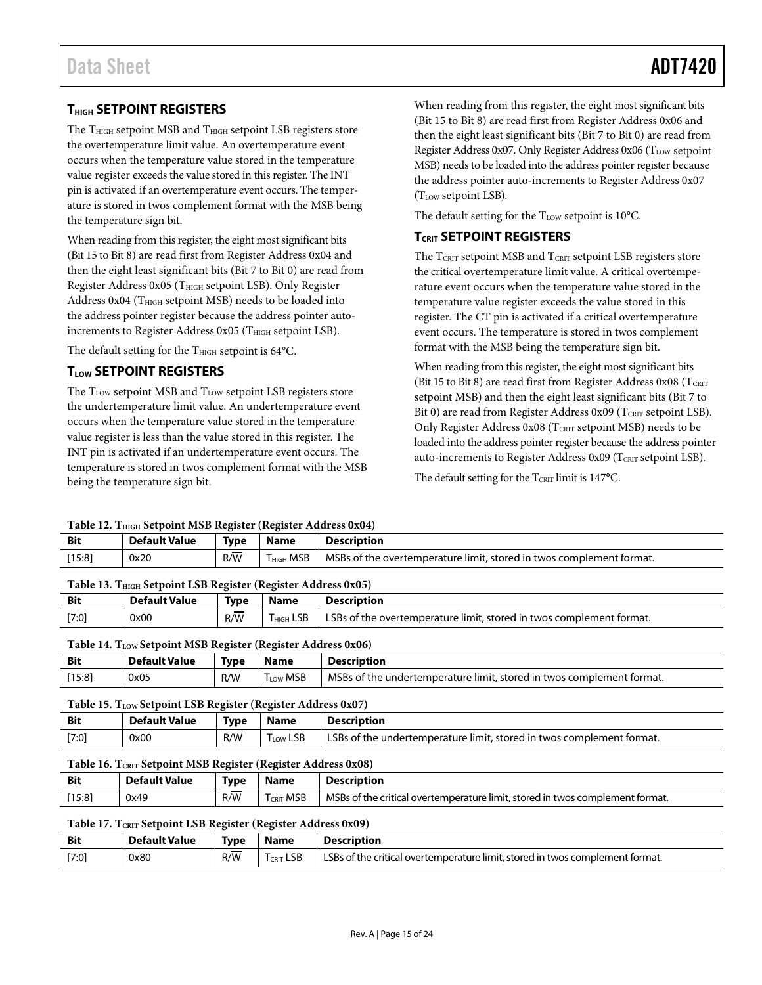# <span id="page-14-0"></span>**7HIGH SETPOINT REGISTERS**

The THIGH setpoint MSB and THIGH setpoint LSB registers store the overtemperature limit value. An overtemperature event occurs when the temperature value stored in the temperature value register exceeds the value stored in this register. The INT pin is activated if an overtemperature event occurs. The temperature is stored in twos complement format with the MSB being the temperature sign bit.

When reading from this register, the eight most significant bits (Bit 15 to Bit 8) are read first from Register Address 0x04 and then the eight least significant bits (Bit 7 to Bit 0) are read from Register Address 0x05 (T<sub>HIGH</sub> setpoint LSB). Only Register Address 0x04 (T<sub>HIGH</sub> setpoint MSB) needs to be loaded into the address pointer register because the address pointer autoincrements to Register Address  $0x05$  (T<sub>HIGH</sub> setpoint LSB).

The default setting for the  $T<sub>HIGH</sub>$  setpoint is 64 $°C$ .

# <span id="page-14-1"></span>**7LOW SETPOINT REGISTERS**

The TLOW setpoint MSB and TLOW setpoint LSB registers store the undertemperature limit value. An undertemperature event occurs when the temperature value stored in the temperature value register is less than the value stored in this register. The INT pin is activated if an undertemperature event occurs. The temperature is stored in twos complement format with the MSB being the temperature sign bit.

When reading from this register, the eight most significant bits (Bit 15 to Bit 8) are read first from Register Address 0x06 and then the eight least significant bits (Bit 7 to Bit 0) are read from Register Address 0x07. Only Register Address 0x06 (T<sub>LOW</sub> setpoint MSB) needs to be loaded into the address pointer register because the address pointer auto-increments to Register Address 0x07 (TLOW setpoint LSB).

The default setting for the  $T_{LOW}$  setpoint is 10 $^{\circ}$ C.

# <span id="page-14-2"></span>**7CRIT SETPOINT REGISTERS**

The  $T_{\text{CRIT}}$  setpoint MSB and  $T_{\text{CRIT}}$  setpoint LSB registers store the critical overtemperature limit value. A critical overtemperature event occurs when the temperature value stored in the temperature value register exceeds the value stored in this register. The CT pin is activated if a critical overtemperature event occurs. The temperature is stored in twos complement format with the MSB being the temperature sign bit.

When reading from this register, the eight most significant bits (Bit 15 to Bit 8) are read first from Register Address  $0x08$  (TCRIT setpoint MSB) and then the eight least significant bits (Bit 7 to Bit 0) are read from Register Address 0x09 ( $T_{\text{CRIT}}$  setpoint LSB). Only Register Address  $0x08$  (TCRIT setpoint MSB) needs to be loaded into the address pointer register because the address pointer auto-increments to Register Address 0x09 ( $T_{\text{CRIT}}$  setpoint LSB).

The default setting for the  $T_{\text{CRT}}$  limit is 147°C.

#### **Table 12. THIGH Setpoint MSB Register (Register Address 0x04)**

| Table 12. Thigh Scripting MSD Register (Register Address 0A04) |                      |           |                       |                                                                      |  |  |  |
|----------------------------------------------------------------|----------------------|-----------|-----------------------|----------------------------------------------------------------------|--|--|--|
| <b>Bit</b>                                                     | <b>Default Value</b> | Type      | <b>Name</b>           | <b>Description</b>                                                   |  |  |  |
| [15:8]                                                         | 0x20                 | __<br>R/W | T <sub>HIGH</sub> MSB | MSBs of the overtemperature limit, stored in twos complement format. |  |  |  |
|                                                                |                      |           |                       |                                                                      |  |  |  |

| Table 13. THIGH Setpoint LSB Register (Register Address 0x05) |  |  |
|---------------------------------------------------------------|--|--|
|---------------------------------------------------------------|--|--|

| <b>Bit</b> | <b>Default Value</b> | <b>Type</b> | <b>Name</b>           | <b>Description</b>                                                   |
|------------|----------------------|-------------|-----------------------|----------------------------------------------------------------------|
| $[7:0]$    | 0x00                 | R/W         | T <sub>HIGH</sub> LSB | LSBs of the overtemperature limit, stored in twos complement format. |

#### Table 14. T<sub>LOW</sub> Setpoint MSB Register (Register Address 0x06)

| Bit    | <b>Default Value</b> | <b>Type</b> | Name                | <b>Description</b>                                                    |
|--------|----------------------|-------------|---------------------|-----------------------------------------------------------------------|
| [15:8] | 0x05                 | R/W         | <b>MSB</b><br>l Low | MSBs of the undertemperature limit, stored in twos complement format. |

#### Table 15. T<sub>LOW</sub> Setpoint LSB Register (Register Address 0x07)

| <b>Bit</b> | <b>Default Value</b> | Type      | <b>Name</b>    | <b>Description</b>                                                    |
|------------|----------------------|-----------|----------------|-----------------------------------------------------------------------|
| [7:0]      | 0x00                 | __<br>R/W | <b>Low LSB</b> | LSBs of the undertemperature limit, stored in twos complement format. |

#### **Table 16. TCRIT Setpoint MSB Register (Register Address 0x08)**

| <b>Bit</b> | <b>Default Value</b> | Type          | Name               | Description                                                                   |
|------------|----------------------|---------------|--------------------|-------------------------------------------------------------------------------|
| [15:8]     | 0x49                 | $\sim$<br>R/W | <b>MSB</b><br>CRIT | MSBs of the critical overtemperature limit, stored in twos complement format. |

#### Table 17. T<sub>CRIT</sub> Setpoint LSB Register (Register Address 0x09)

| Bit   | Default Value | Tvpe | Name           | <b>Description</b>                                                            |
|-------|---------------|------|----------------|-------------------------------------------------------------------------------|
| [7:0] | 0x80          | R/W  | $T_{CRIT}$ LSB | LSBs of the critical overtemperature limit, stored in twos complement format. |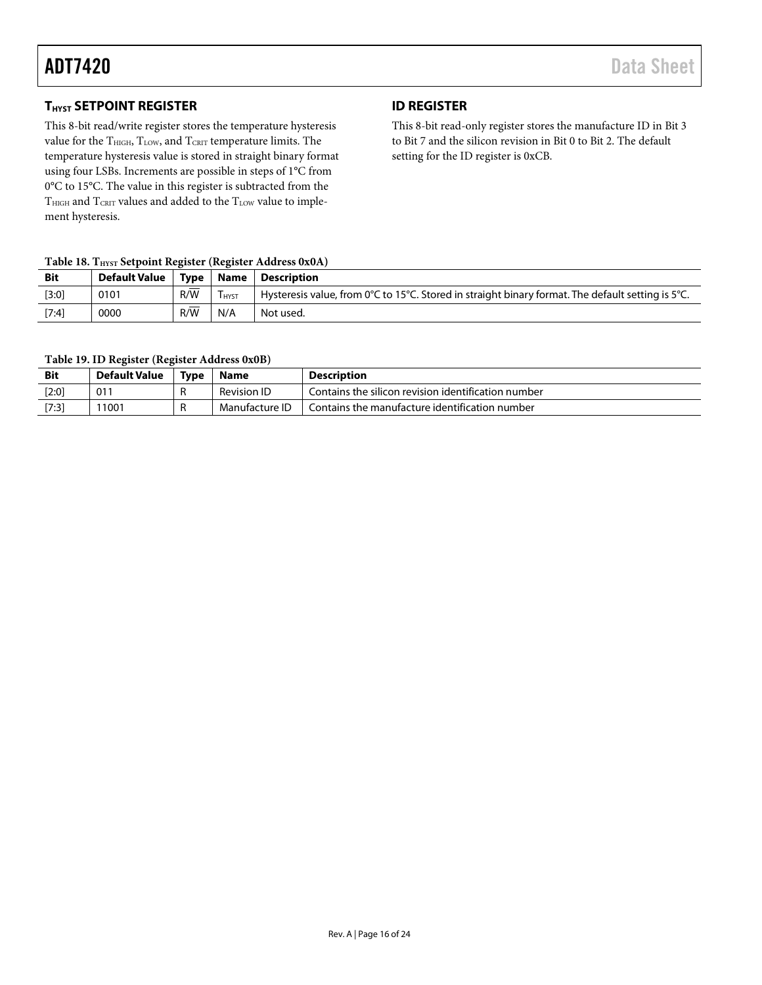# <span id="page-15-0"></span>*THYST* SETPOINT REGISTER

This 8-bit read/write register stores the temperature hysteresis value for the  $T<sub>HIGH</sub>, T<sub>LOW</sub>,$  and  $T<sub>CRT</sub>$  temperature limits. The temperature hysteresis value is stored in straight binary format using four LSBs. Increments are possible in steps of 1°C from 0°C to 15°C. The value in this register is subtracted from the THIGH and TCRIT values and added to the TLOW value to implement hysteresis.

# <span id="page-15-1"></span>*36B***ID REGISTER**

This 8-bit read-only register stores the manufacture ID in Bit 3 to Bit 7 and the silicon revision in Bit 0 to Bit 2. The default setting for the ID register is 0xCB.

### Table 18. T<sub>HYST</sub> Setpoint Register (Register Address 0x0A)

| <b>Bit</b> | Default Value   Type   Name   Description |          |               |                                                                                                                                  |
|------------|-------------------------------------------|----------|---------------|----------------------------------------------------------------------------------------------------------------------------------|
| $[3:0]$    | 0101                                      | _<br>R/W | <b>T</b> HYST | Hysteresis value, from $0^{\circ}C$ to 15 $^{\circ}C$ . Stored in straight binary format. The default setting is 5 $^{\circ}C$ . |
| $[7:4]$    | 0000                                      | _<br>R/W | N/A           | Not used.                                                                                                                        |

#### **Table 19. ID Register (Register Address 0x0B)**

| <b>Bit</b> | <b>Default Value</b> | Tvpe | Name               | <b>Description</b>                                  |
|------------|----------------------|------|--------------------|-----------------------------------------------------|
| $[2:0]$    | $01^{\circ}$         |      | <b>Revision ID</b> | Contains the silicon revision identification number |
| [7:3]      | 11001                |      | Manufacture ID     | Contains the manufacture identification number      |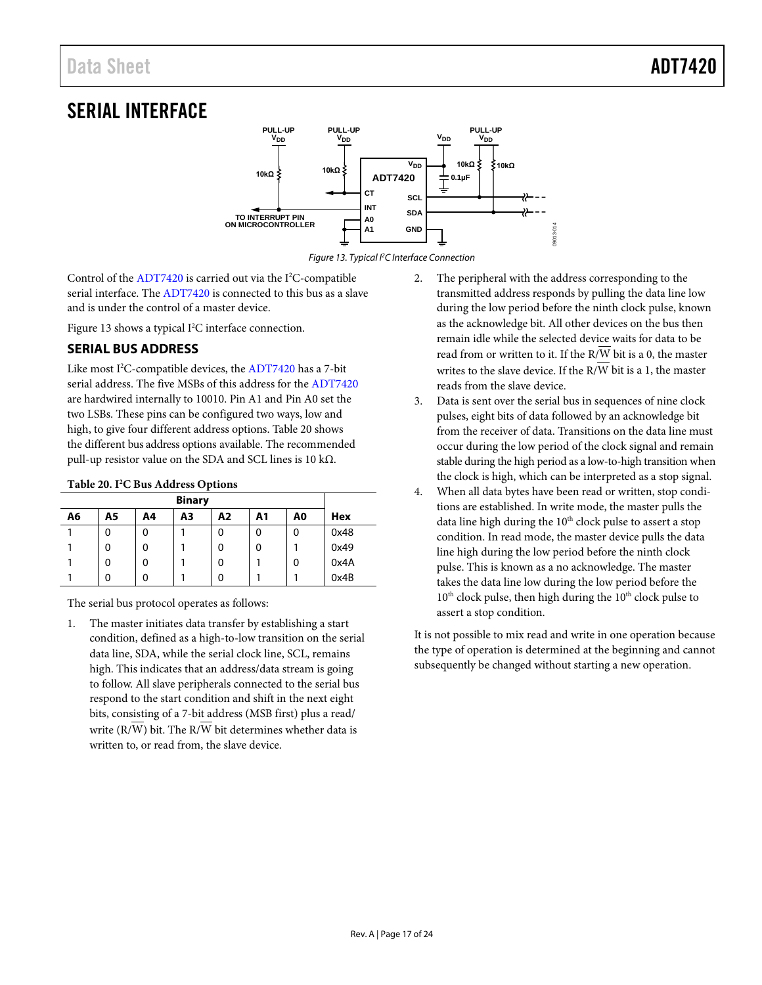# <span id="page-16-0"></span>*SERIAL INTERFACE*



*Figure 13. Typical I2C Interface Connection*

<span id="page-16-2"></span>Control of the  $ADT7420$  is carried out via the I<sup>2</sup>C-compatible serial interface. The [ADT7420](http://www.analog.com/ADT7420?doc=ADT7420.pdf) is connected to this bus as a slave and is under the control of a master device.

[Figure 13](#page-16-2) shows a typical I<sup>2</sup>C interface connection.

# <span id="page-16-1"></span>**SERIAL BUS ADDRESS**

Like most I 2 C-compatible devices, th[e ADT7420](http://www.analog.com/ADT7420?doc=ADT7420.pdf) has a 7-bit serial address. The five MSBs of this address for th[e ADT7420](http://www.analog.com/ADT7420?doc=ADT7420.pdf) are hardwired internally to 10010. Pin A1 and Pin A0 set the two LSBs. These pins can be configured two ways, low and high, to give four different address options. [Table 20](#page-16-3) shows the different bus address options available. The recommended pull-up resistor value on the SDA and SCL lines is 10 k $\Omega$ .

#### <span id="page-16-3"></span>**Table 20. I2 C Bus Address Options**

| <b>Binary</b> |    |    |    |    |    |    |      |
|---------------|----|----|----|----|----|----|------|
| A6            | Α5 | A4 | A3 | Α2 | Α1 | A0 | Hex  |
|               | 0  | 0  |    | 0  | 0  | 0  | 0x48 |
|               | 0  | 0  |    | 0  | 0  |    | 0x49 |
|               | 0  | 0  |    | 0  |    | 0  | 0x4A |
|               | 0  | ŋ  |    | 0  |    |    | 0x4B |

The serial bus protocol operates as follows:

1. The master initiates data transfer by establishing a start condition, defined as a high-to-low transition on the serial data line, SDA, while the serial clock line, SCL, remains high. This indicates that an address/data stream is going to follow. All slave peripherals connected to the serial bus respond to the start condition and shift in the next eight bits, consisting of a 7-bit address (MSB first) plus a read/ write (R/W) bit. The R/W bit determines whether data is written to, or read from, the slave device.

2. The peripheral with the address corresponding to the transmitted address responds by pulling the data line low during the low period before the ninth clock pulse, known as the acknowledge bit. All other devices on the bus then remain idle while the selected device waits for data to be read from or written to it. If the R/W bit is a 0, the master writes to the slave device. If the R/W bit is a 1, the master reads from the slave device.

09013-014

- 3. Data is sent over the serial bus in sequences of nine clock pulses, eight bits of data followed by an acknowledge bit from the receiver of data. Transitions on the data line must occur during the low period of the clock signal and remain stable during the high period as a low-to-high transition when the clock is high, which can be interpreted as a stop signal.
- 4. When all data bytes have been read or written, stop conditions are established. In write mode, the master pulls the data line high during the  $10<sup>th</sup>$  clock pulse to assert a stop condition. In read mode, the master device pulls the data line high during the low period before the ninth clock pulse. This is known as a no acknowledge. The master takes the data line low during the low period before the  $10<sup>th</sup>$  clock pulse, then high during the  $10<sup>th</sup>$  clock pulse to assert a stop condition.

It is not possible to mix read and write in one operation because the type of operation is determined at the beginning and cannot subsequently be changed without starting a new operation.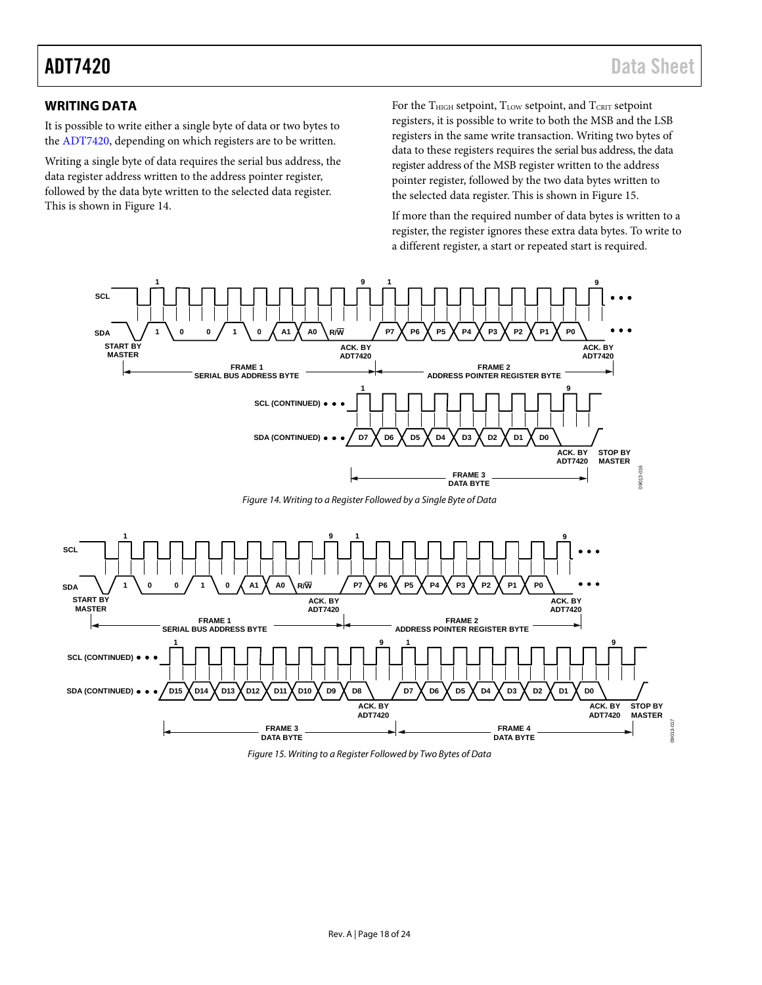# <span id="page-17-0"></span>*38B***WRITING DATA**

It is possible to write either a single byte of data or two bytes to the [ADT7420,](http://www.analog.com/ADT7420?doc=ADT7420.pdf) depending on which registers are to be written.

Writing a single byte of data requires the serial bus address, the data register address written to the address pointer register, followed by the data byte written to the selected data register. This is shown in [Figure 14.](#page-17-1) 

For the  $T<sub>HIGH</sub>$  setpoint,  $T<sub>LOW</sub>$  setpoint, and  $T<sub>CRIT</sub>$  setpoint registers, it is possible to write to both the MSB and the LSB registers in the same write transaction. Writing two bytes of data to these registers requires the serial bus address, the data register address of the MSB register written to the address pointer register, followed by the two data bytes written to the selected data register. This is shown in [Figure 15.](#page-17-2) 

If more than the required number of data bytes is written to a register, the register ignores these extra data bytes. To write to a different register, a start or repeated start is required.



<span id="page-17-1"></span>

<span id="page-17-2"></span>*Figure 15. Writing to a Register Followed by Two Bytes of Data*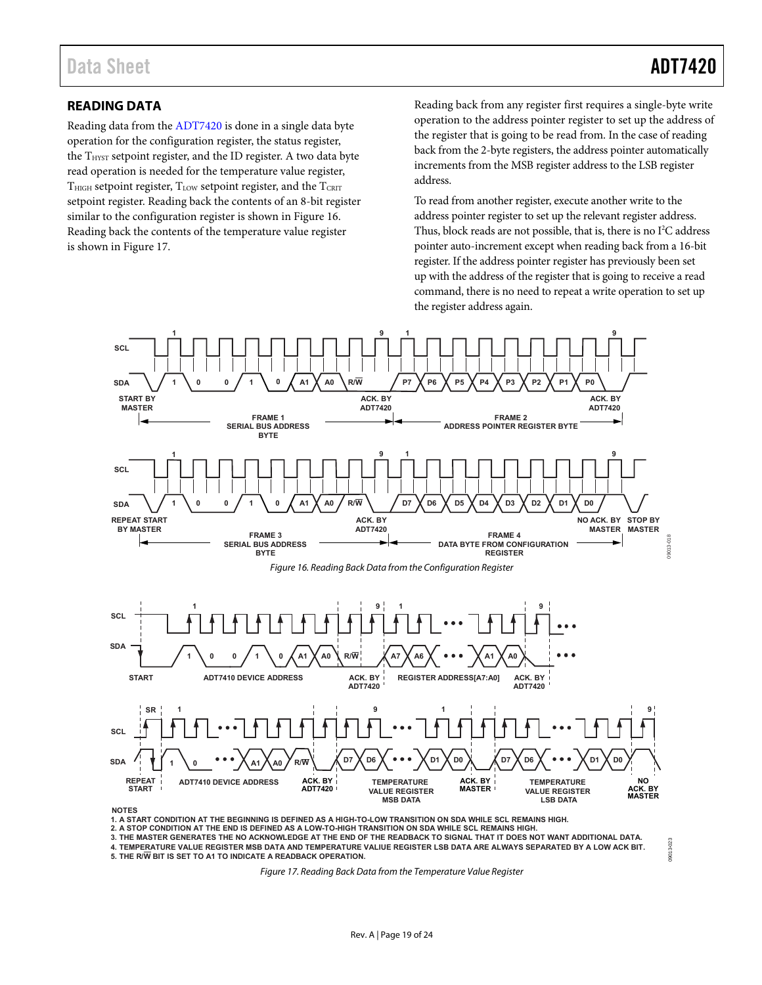# <span id="page-18-0"></span>**READING DATA**

Reading data from the [ADT7420 i](http://www.analog.com/ADT7420?doc=ADT7420.pdf)s done in a single data byte operation for the configuration register, the status register, the T<sub>HYST</sub> setpoint register, and the ID register. A two data byte read operation is needed for the temperature value register,  $T<sub>HIGH</sub>$  setpoint register,  $T<sub>LOW</sub>$  setpoint register, and the  $T<sub>CRIT</sub>$ setpoint register. Reading back the contents of an 8-bit register similar to the configuration register is shown in [Figure 16.](#page-18-1)  Reading back the contents of the temperature value register is shown in [Figure 17.](#page-18-2)

Reading back from any register first requires a single-byte write operation to the address pointer register to set up the address of the register that is going to be read from. In the case of reading back from the 2-byte registers, the address pointer automatically increments from the MSB register address to the LSB register address.

To read from another register, execute another write to the address pointer register to set up the relevant register address. Thus, block reads are not possible, that is, there is no  $I^2C$  address pointer auto-increment except when reading back from a 16-bit register. If the address pointer register has previously been set up with the address of the register that is going to receive a read command, there is no need to repeat a write operation to set up the register address again.

<span id="page-18-1"></span>

**1. A START CONDITION AT THE BEGINNING IS DEFINED AS A HIGH-TO-LOW TRANSITION ON SDA WHILE SCL REMAINS HIGH. 2. A STOP CONDITION AT THE END IS DEFINED AS A LOW-TO-HIGH TRANSITION ON SDA WHILE SCL REMAINS HIGH.**

<span id="page-18-2"></span>**3. THE MASTER GENERATES THE NO ACKNOWLEDGE AT THE END OF THE READBACK TO SIGNAL THAT IT DOES NOT WANT ADDITIONAL DATA. 4. TEMPERATURE VALUE REGISTER MSB DATA AND TEMPERATURE VALIUE REGISTER LSB DATA ARE ALWAYS SEPARATED BY A LOW ACK BIT. 5. THE R/W BIT IS SET TO A1 TO INDICATE A READBACK OPERATION.**

Figure 17. Reading Back Data from the Temperature Value Register

9013-023 09013-023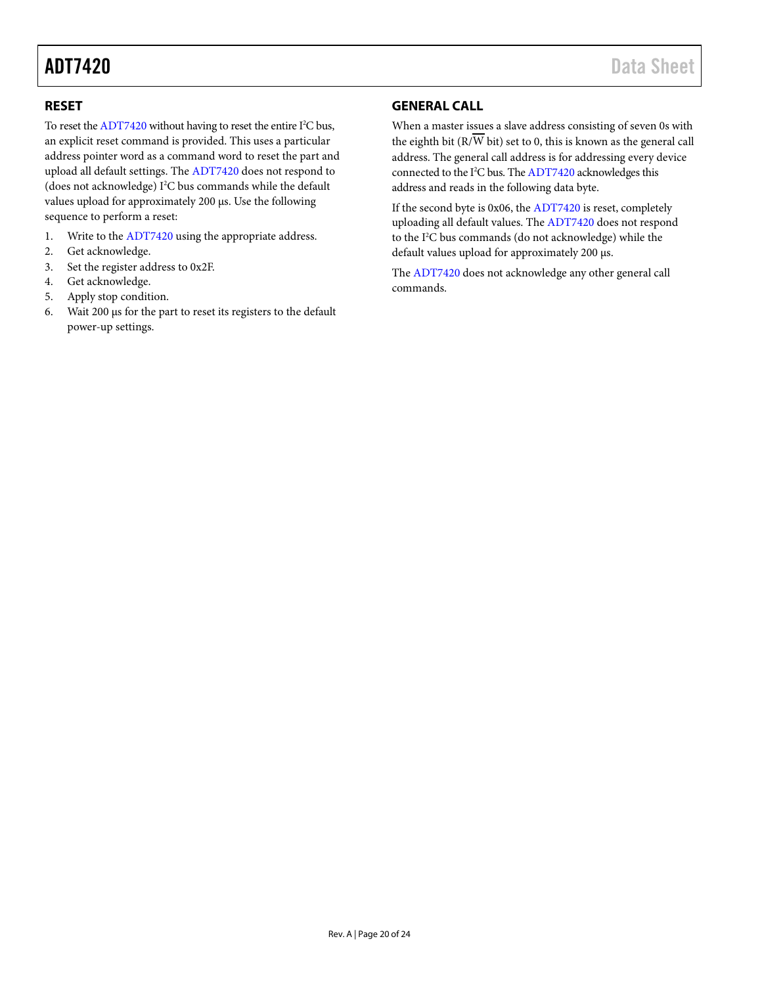### <span id="page-19-0"></span>*40B***RESET**

To reset th[e ADT7420](http://www.analog.com/ADT7420?doc=ADT7420.pdf) without having to reset the entire I<sup>2</sup>C bus, an explicit reset command is provided. This uses a particular address pointer word as a command word to reset the part and upload all default settings. Th[e ADT7420](http://www.analog.com/ADT7420?doc=ADT7420.pdf) does not respond to (does not acknowledge) I 2 C bus commands while the default values upload for approximately 200 µs. Use the following sequence to perform a reset:

- 1. Write to th[e ADT7420](http://www.analog.com/ADT7420?doc=ADT7420.pdf) using the appropriate address.
- 2. Get acknowledge.
- 3. Set the register address to 0x2F.
- 4. Get acknowledge.
- 5. Apply stop condition.
- 6. Wait 200 µs for the part to reset its registers to the default power-up settings.

# <span id="page-19-1"></span>*41B***GENERAL CALL**

When a master issues a slave address consisting of seven 0s with the eighth bit (R/W bit) set to 0, this is known as the general call address. The general call address is for addressing every device connected to the I<sup>2</sup>C bus. Th[e ADT7420](http://www.analog.com/ADT7420?doc=ADT7420.pdf) acknowledges this address and reads in the following data byte.

If the second byte is 0x06, the [ADT7420](http://www.analog.com/ADT7420?doc=ADT7420.pdf) is reset, completely uploading all default values. The [ADT7420](http://www.analog.com/ADT7420?doc=ADT7420.pdf) does not respond to the I2 C bus commands (do not acknowledge) while the default values upload for approximately 200 µs.

The [ADT7420](http://www.analog.com/ADT7420?doc=ADT7420.pdf) does not acknowledge any other general call commands.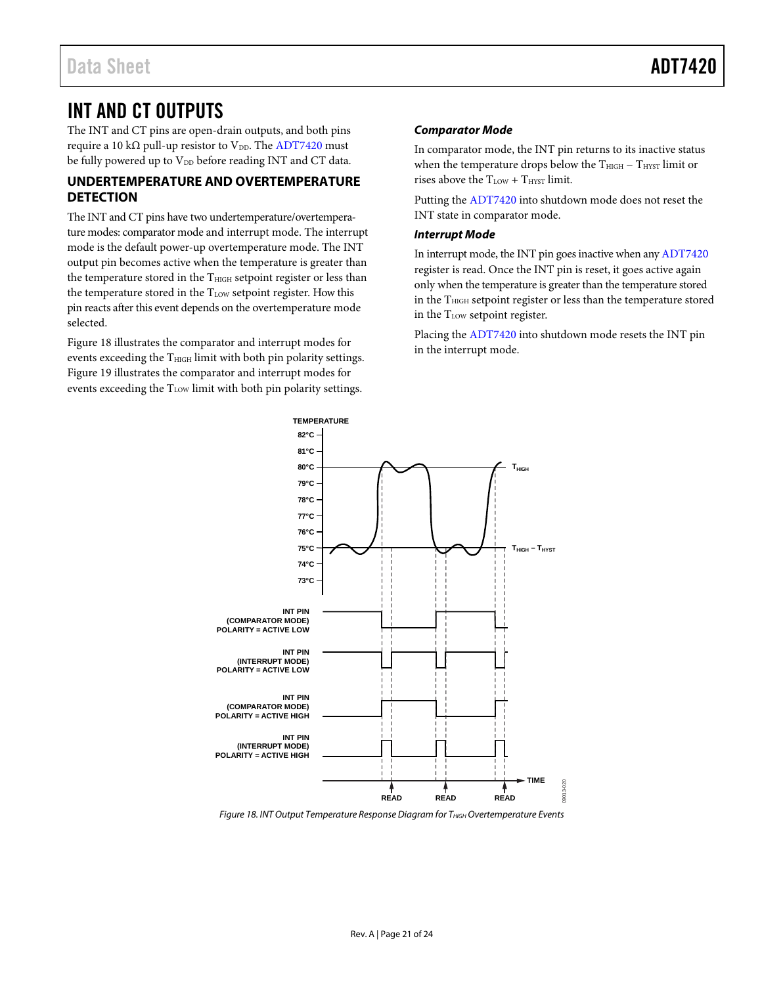# <span id="page-20-0"></span>*INT AND CT OUTPUTS*

The INT and CT pins are open-drain outputs, and both pins require a 10 kΩ pull-up resistor to  $V_{DD}$ . Th[e ADT7420](http://www.analog.com/ADT7420?doc=ADT7420.pdf) must be fully powered up to  $V_{DD}$  before reading INT and CT data.

# <span id="page-20-1"></span>*42B***UNDERTEMPERATURE AND OVERTEMPERATURE DETECTION**

The INT and CT pins have two undertemperature/overtemperature modes: comparator mode and interrupt mode. The interrupt mode is the default power-up overtemperature mode. The INT output pin becomes active when the temperature is greater than the temperature stored in the  $T<sub>HIGH</sub>$  setpoint register or less than the temperature stored in the  $T_{LOW}$  setpoint register. How this pin reacts after this event depends on the overtemperature mode selected.

[Figure 18](#page-20-2) illustrates the comparator and interrupt modes for events exceeding the  $T_{\text{HIGH}}$  limit with both pin polarity settings. [Figure 19](#page-21-0) illustrates the comparator and interrupt modes for events exceeding the T<sub>LOW</sub> limit with both pin polarity settings.

## *Comparator Mode*

In comparator mode, the INT pin returns to its inactive status when the temperature drops below the T<sub>HIGH</sub> − T<sub>HYST</sub> limit or rises above the  $T_{LOW} + T_{HYST}$  limit.

Putting th[e ADT7420](http://www.analog.com/ADT7420?doc=ADT7420.pdf) into shutdown mode does not reset the INT state in comparator mode.

### *Interrupt Mode*

In interrupt mode, the INT pin goes inactive when an[y ADT7420](http://www.analog.com/ADT7420?doc=ADT7420.pdf) register is read. Once the INT pin is reset, it goes active again only when the temperature is greater than the temperature stored in the T<sub>HIGH</sub> setpoint register or less than the temperature stored in the T<sub>LOW</sub> setpoint register.

Placing th[e ADT7420](http://www.analog.com/ADT7420?doc=ADT7420.pdf) into shutdown mode resets the INT pin in the interrupt mode.



<span id="page-20-2"></span>**Figure 18. INT Output Temperature Response Diagram for THIGH Overtemperature Events**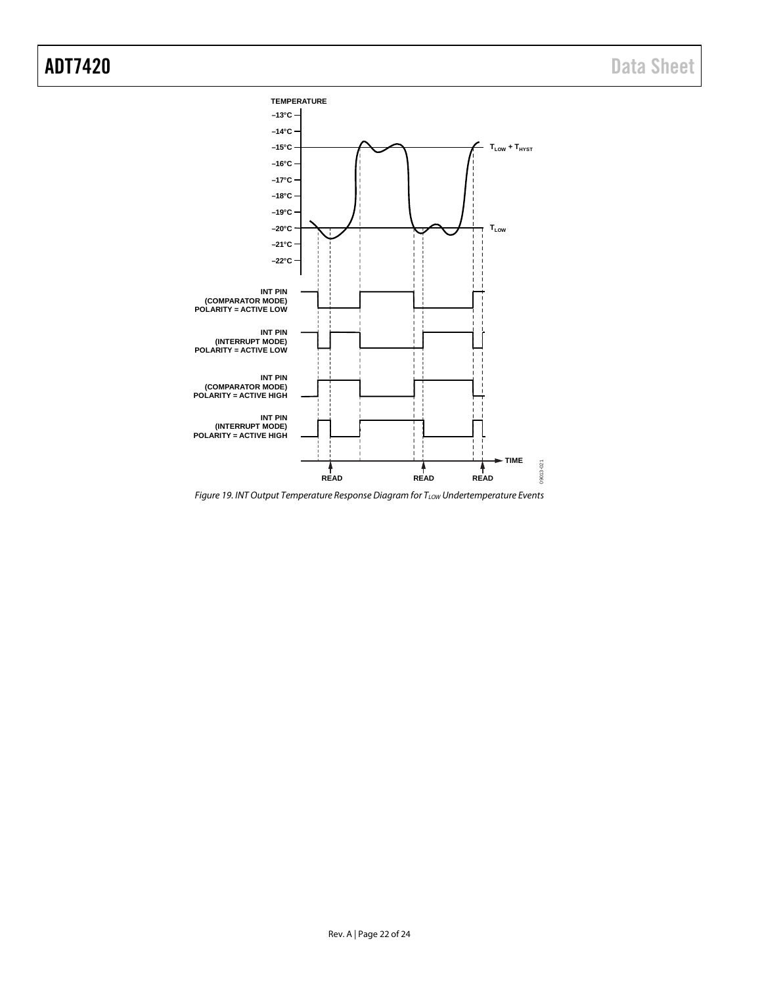

<span id="page-21-0"></span>*Figure 19. INT Output Temperature Response Diagram for TLOW Undertemperature Events*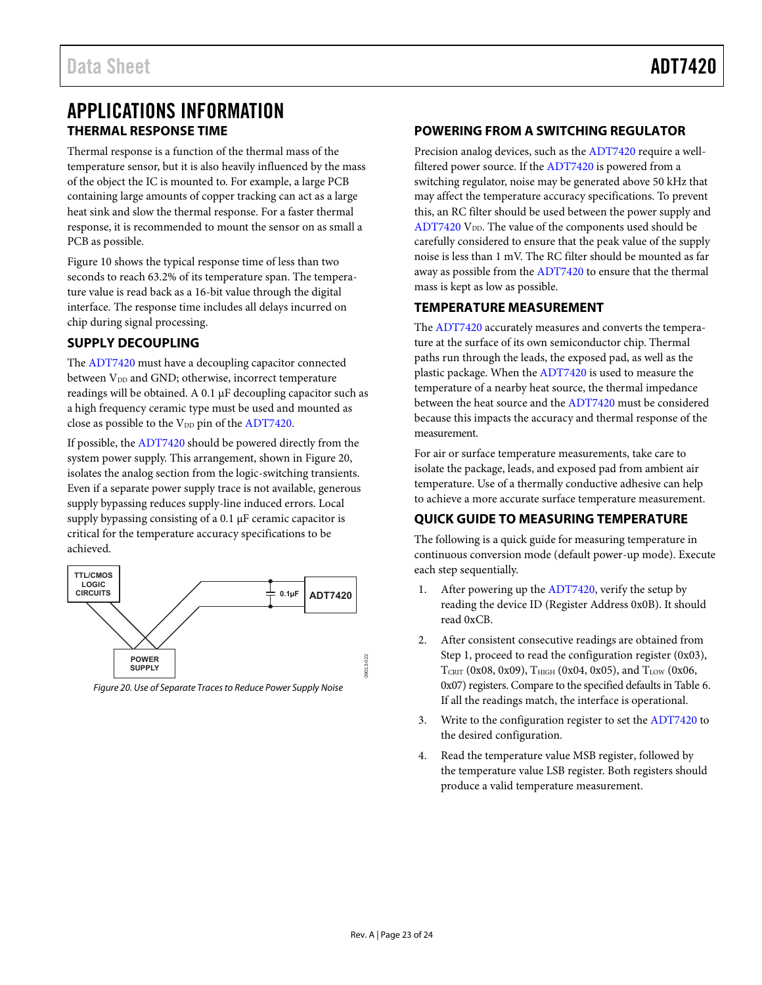# <span id="page-22-0"></span>APPLICATIONS INFORMATION **THERMAL RESPONSE TIME**

<span id="page-22-1"></span>Thermal response is a function of the thermal mass of the temperature sensor, but it is also heavily influenced by the mass of the object the IC is mounted to. For example, a large PCB containing large amounts of copper tracking can act as a large heat sink and slow the thermal response. For a faster thermal response, it is recommended to mount the sensor on as small a PCB as possible.

[Figure 10 s](#page-8-0)hows the typical response time of less than two seconds to reach 63.2% of its temperature span. The temperature value is read back as a 16-bit value through the digital interface. The response time includes all delays incurred on chip during signal processing.

# <span id="page-22-2"></span>**SUPPLY DECOUPLING**

The [ADT7420 m](http://www.analog.com/ADT7420?doc=ADT7420.pdf)ust have a decoupling capacitor connected between  $V_{DD}$  and GND; otherwise, incorrect temperature readings will be obtained. A 0.1  $\mu$ F decoupling capacitor such as a high frequency ceramic type must be used and mounted as close as possible to the V<sub>DD</sub> pin of the ADT7420.

If possible, the [ADT7420 s](http://www.analog.com/ADT7420?doc=ADT7420.pdf)hould be powered directly from the system power supply. This arrangement, shown i[n Figure 20,](#page-22-6) isolates the analog section from the logic-switching transients. Even if a separate power supply trace is not available, generous supply bypassing reduces supply-line induced errors. Local supply bypassing consisting of a 0.1 μF ceramic capacitor is critical for the temperature accuracy specifications to be achieved.



<span id="page-22-6"></span>Figure 20. Use of Separate Traces to Reduce Power Supply Noise

## <span id="page-22-3"></span>**POWERING FROM A SWITCHING REGULATOR**

Precision analog devices, such as th[e ADT7420 r](http://www.analog.com/ADT7420?doc=ADT7420.pdf)equire a wellfiltered power source. If th[e ADT7420](http://www.analog.com/ADT7420?doc=ADT7420.pdf) is powered from a switching regulator, noise may be generated above 50 kHz that may affect the temperature accuracy specifications. To prevent this, an RC filter should be used between the power supply and ADT7420  $V_{DD}$ . The value of the components used should be carefully considered to ensure that the peak value of the supply noise is less than 1 mV. The RC filter should be mounted as far away as possible from th[e ADT7420](http://www.analog.com/ADT7420?doc=ADT7420.pdf) to ensure that the thermal mass is kept as low as possible.

# <span id="page-22-4"></span>**TEMPERATURE MEASUREMENT**

The [ADT7420 a](http://www.analog.com/ADT7420?doc=ADT7420.pdf)ccurately measures and converts the temperature at the surface of its own semiconductor chip. Thermal paths run through the leads, the exposed pad, as well as the plastic package. When the [ADT7420 i](http://www.analog.com/ADT7420?doc=ADT7420.pdf)s used to measure the temperature of a nearby heat source, the thermal impedance between the heat source and th[e ADT7420 m](http://www.analog.com/ADT7420?doc=ADT7420.pdf)ust be considered because this impacts the accuracy and thermal response of the measurement.

For air or surface temperature measurements, take care to isolate the package, leads, and exposed pad from ambient air temperature. Use of a thermally conductive adhesive can help to achieve a more accurate surface temperature measurement.

# <span id="page-22-5"></span>**QUICK GUIDE TO MEASURING TEMPERATURE**

The following is a quick guide for measuring temperature in continuous conversion mode (default power-up mode). Execute each step sequentially.

- 1. After powering up th[e ADT7420,](http://www.analog.com/ADT7420?doc=ADT7420.pdf) verify the setup by reading the device ID (Register Address 0x0B). It should read 0xCB.
- 2. After consistent consecutive readings are obtained from Step 1, proceed to read the configuration register (0x03), TCRIT (0x08, 0x09), THIGH (0x04, 0x05), and TLOW (0x06, 0x07) registers. Compare to the specified defaults i[n Table 6.](#page-12-4) If all the readings match, the interface is operational.
- 3. Write to the configuration register to set the [ADT7420 t](http://www.analog.com/ADT7420?doc=ADT7420.pdf)o the desired configuration.
- 4. Read the temperature value MSB register, followed by the temperature value LSB register. Both registers should produce a valid temperature measurement.